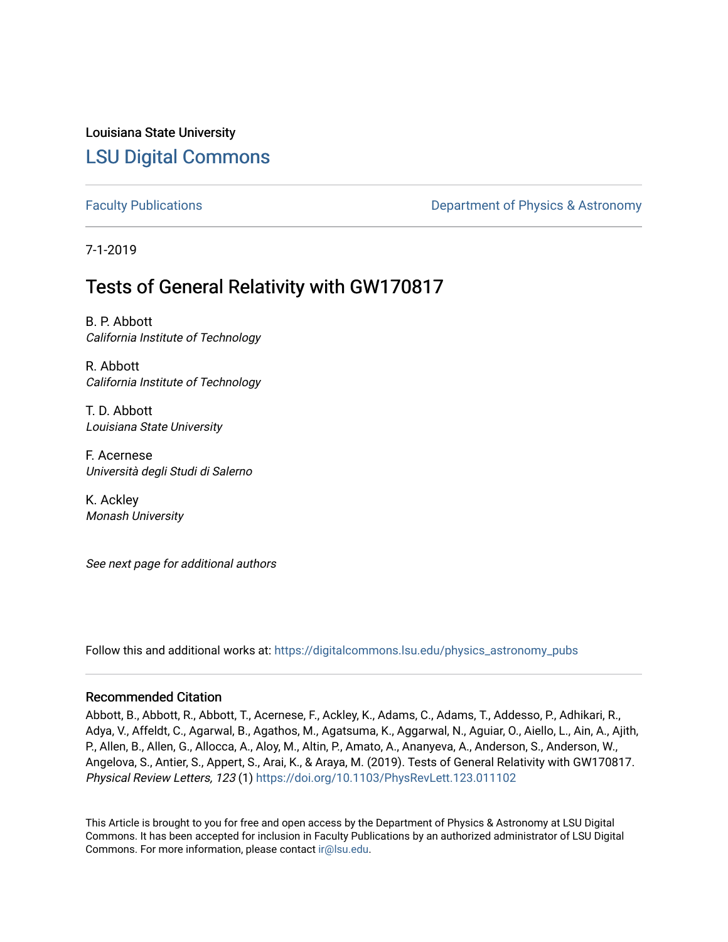Louisiana State University [LSU Digital Commons](https://digitalcommons.lsu.edu/)

[Faculty Publications](https://digitalcommons.lsu.edu/physics_astronomy_pubs) **Exercise 2 and Table 2 and Table 2 and Table 2 and Table 2 and Table 2 and Table 2 and Table 2 and Table 2 and Table 2 and Table 2 and Table 2 and Table 2 and Table 2 and Table 2 and Table 2 and Table** 

7-1-2019

## Tests of General Relativity with GW170817

B. P. Abbott California Institute of Technology

R. Abbott California Institute of Technology

T. D. Abbott Louisiana State University

F. Acernese Università degli Studi di Salerno

K. Ackley Monash University

See next page for additional authors

Follow this and additional works at: [https://digitalcommons.lsu.edu/physics\\_astronomy\\_pubs](https://digitalcommons.lsu.edu/physics_astronomy_pubs?utm_source=digitalcommons.lsu.edu%2Fphysics_astronomy_pubs%2F1024&utm_medium=PDF&utm_campaign=PDFCoverPages) 

## Recommended Citation

Abbott, B., Abbott, R., Abbott, T., Acernese, F., Ackley, K., Adams, C., Adams, T., Addesso, P., Adhikari, R., Adya, V., Affeldt, C., Agarwal, B., Agathos, M., Agatsuma, K., Aggarwal, N., Aguiar, O., Aiello, L., Ain, A., Ajith, P., Allen, B., Allen, G., Allocca, A., Aloy, M., Altin, P., Amato, A., Ananyeva, A., Anderson, S., Anderson, W., Angelova, S., Antier, S., Appert, S., Arai, K., & Araya, M. (2019). Tests of General Relativity with GW170817. Physical Review Letters, 123 (1)<https://doi.org/10.1103/PhysRevLett.123.011102>

This Article is brought to you for free and open access by the Department of Physics & Astronomy at LSU Digital Commons. It has been accepted for inclusion in Faculty Publications by an authorized administrator of LSU Digital Commons. For more information, please contact [ir@lsu.edu](mailto:ir@lsu.edu).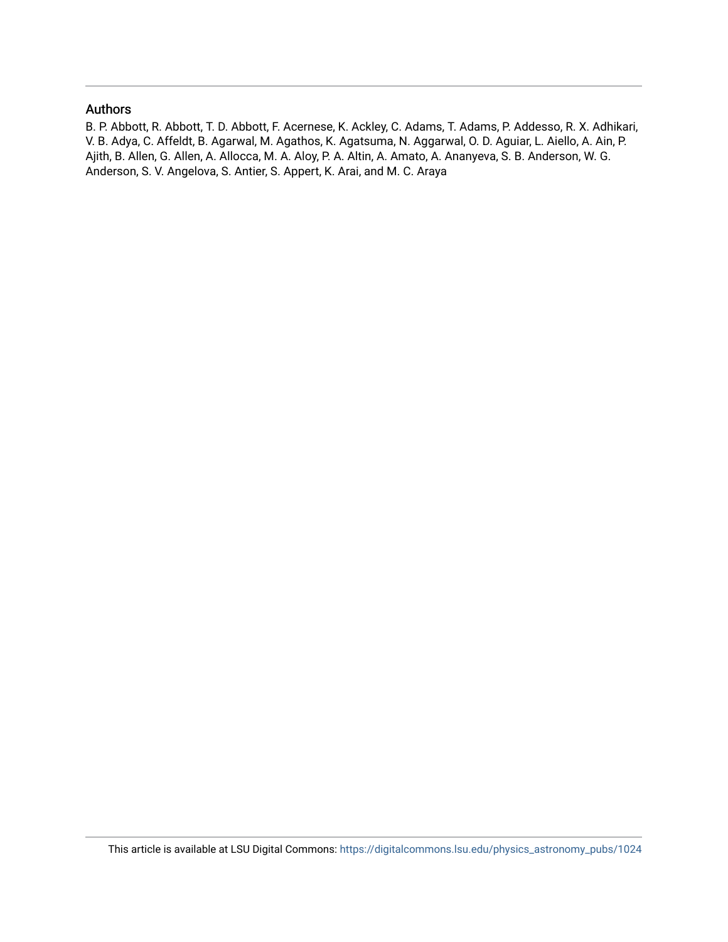## Authors

B. P. Abbott, R. Abbott, T. D. Abbott, F. Acernese, K. Ackley, C. Adams, T. Adams, P. Addesso, R. X. Adhikari, V. B. Adya, C. Affeldt, B. Agarwal, M. Agathos, K. Agatsuma, N. Aggarwal, O. D. Aguiar, L. Aiello, A. Ain, P. Ajith, B. Allen, G. Allen, A. Allocca, M. A. Aloy, P. A. Altin, A. Amato, A. Ananyeva, S. B. Anderson, W. G. Anderson, S. V. Angelova, S. Antier, S. Appert, K. Arai, and M. C. Araya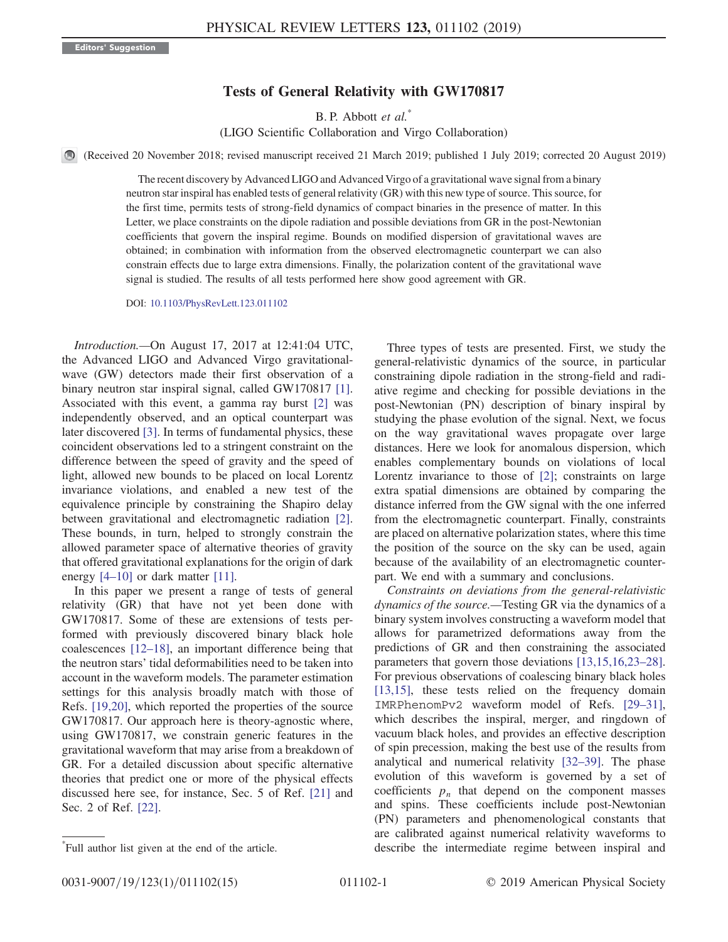## Tests of General Relativity with GW170817

B. P. Abbott et al.<sup>\*</sup>

(LIGO Scientific Collaboration and Virgo Collaboration)

(Received 20 November 2018; revised manuscript received 21 March 2019; published 1 July 2019; corrected 20 August 2019)

The recent discovery by Advanced LIGO and Advanced Virgo of a gravitational wave signal from a binary neutron star inspiral has enabled tests of general relativity (GR) with this new type of source. This source, for the first time, permits tests of strong-field dynamics of compact binaries in the presence of matter. In this Letter, we place constraints on the dipole radiation and possible deviations from GR in the post-Newtonian coefficients that govern the inspiral regime. Bounds on modified dispersion of gravitational waves are obtained; in combination with information from the observed electromagnetic counterpart we can also constrain effects due to large extra dimensions. Finally, the polarization content of the gravitational wave signal is studied. The results of all tests performed here show good agreement with GR.

DOI: [10.1103/PhysRevLett.123.011102](https://doi.org/10.1103/PhysRevLett.123.011102)

Introduction.—On August 17, 2017 at 12∶41:04 UTC, the Advanced LIGO and Advanced Virgo gravitationalwave (GW) detectors made their first observation of a binary neutron star inspiral signal, called GW170817 [\[1\]](#page-8-0). Associated with this event, a gamma ray burst [\[2\]](#page-8-1) was independently observed, and an optical counterpart was later discovered [\[3\]](#page-8-2). In terms of fundamental physics, these coincident observations led to a stringent constraint on the difference between the speed of gravity and the speed of light, allowed new bounds to be placed on local Lorentz invariance violations, and enabled a new test of the equivalence principle by constraining the Shapiro delay between gravitational and electromagnetic radiation [\[2\]](#page-8-1). These bounds, in turn, helped to strongly constrain the allowed parameter space of alternative theories of gravity that offered gravitational explanations for the origin of dark energy  $[4-10]$  $[4-10]$  or dark matter  $[11]$ .

In this paper we present a range of tests of general relativity (GR) that have not yet been done with GW170817. Some of these are extensions of tests performed with previously discovered binary black hole coalescences [12–[18\],](#page-8-5) an important difference being that the neutron stars' tidal deformabilities need to be taken into account in the waveform models. The parameter estimation settings for this analysis broadly match with those of Refs. [\[19,20\]](#page-9-0), which reported the properties of the source GW170817. Our approach here is theory-agnostic where, using GW170817, we constrain generic features in the gravitational waveform that may arise from a breakdown of GR. For a detailed discussion about specific alternative theories that predict one or more of the physical effects discussed here see, for instance, Sec. 5 of Ref. [\[21\]](#page-9-1) and Sec. 2 of Ref. [\[22\].](#page-9-2)

Three types of tests are presented. First, we study the general-relativistic dynamics of the source, in particular constraining dipole radiation in the strong-field and radiative regime and checking for possible deviations in the post-Newtonian (PN) description of binary inspiral by studying the phase evolution of the signal. Next, we focus on the way gravitational waves propagate over large distances. Here we look for anomalous dispersion, which enables complementary bounds on violations of local Lorentz invariance to those of [\[2\]](#page-8-1); constraints on large extra spatial dimensions are obtained by comparing the distance inferred from the GW signal with the one inferred from the electromagnetic counterpart. Finally, constraints are placed on alternative polarization states, where this time the position of the source on the sky can be used, again because of the availability of an electromagnetic counterpart. We end with a summary and conclusions.

Constraints on deviations from the general-relativistic dynamics of the source.—Testing GR via the dynamics of a binary system involves constructing a waveform model that allows for parametrized deformations away from the predictions of GR and then constraining the associated parameters that govern those deviations [\[13,15,16,23](#page-8-6)–28]. For previous observations of coalescing binary black holes [\[13,15\]](#page-8-6), these tests relied on the frequency domain IMRPhenomPv2 waveform model of Refs. [\[29](#page-9-3)–31], which describes the inspiral, merger, and ringdown of vacuum black holes, and provides an effective description of spin precession, making the best use of the results from analytical and numerical relativity [32–[39\].](#page-9-4) The phase evolution of this waveform is governed by a set of coefficients  $p_n$  that depend on the component masses and spins. These coefficients include post-Newtonian (PN) parameters and phenomenological constants that are calibrated against numerical relativity waveforms to describe the intermediate regime between inspiral and \*

Full author list given at the end of the article.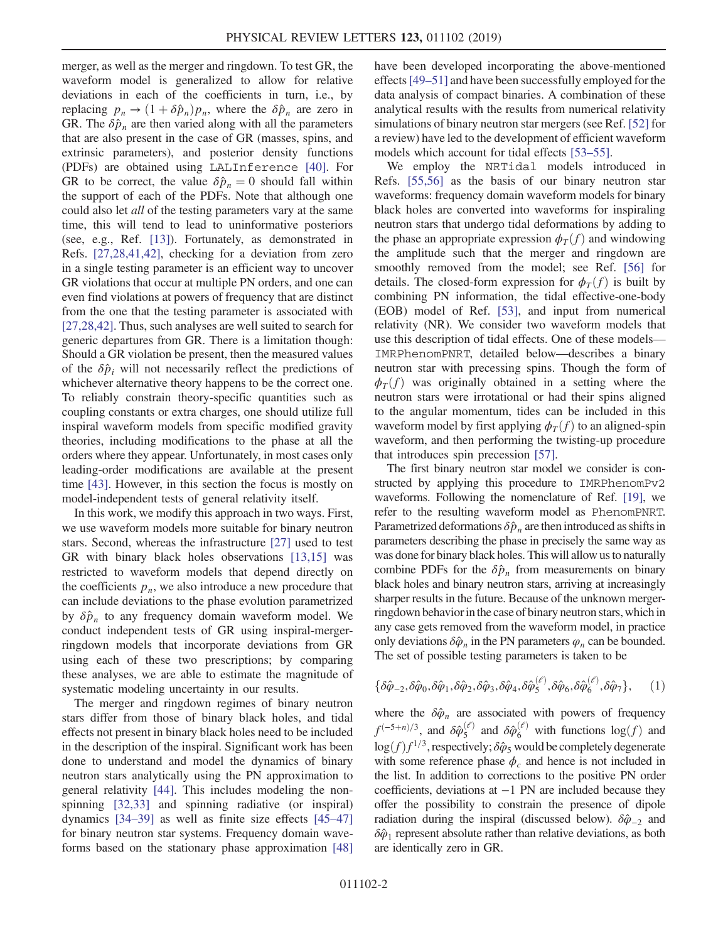merger, as well as the merger and ringdown. To test GR, the waveform model is generalized to allow for relative deviations in each of the coefficients in turn, i.e., by replacing  $p_n \rightarrow (1 + \delta \hat{p}_n)p_n$ , where the  $\delta \hat{p}_n$  are zero in GR. The  $\delta \hat{p}_n$  are then varied along with all the parameters that are also present in the case of GR (masses, spins, and extrinsic parameters), and posterior density functions (PDFs) are obtained using LALInference [\[40\]](#page-9-5). For GR to be correct, the value  $\delta \hat{p}_n = 0$  should fall within the support of each of the PDFs. Note that although one could also let *all* of the testing parameters vary at the same time, this will tend to lead to uninformative posteriors (see, e.g., Ref. [\[13\]](#page-8-6)). Fortunately, as demonstrated in Refs. [\[27,28,41,42\],](#page-9-6) checking for a deviation from zero in a single testing parameter is an efficient way to uncover GR violations that occur at multiple PN orders, and one can even find violations at powers of frequency that are distinct from the one that the testing parameter is associated with [\[27,28,42\]](#page-9-6). Thus, such analyses are well suited to search for generic departures from GR. There is a limitation though: Should a GR violation be present, then the measured values of the  $\delta \hat{p}_i$  will not necessarily reflect the predictions of whichever alternative theory happens to be the correct one. To reliably constrain theory-specific quantities such as coupling constants or extra charges, one should utilize full inspiral waveform models from specific modified gravity theories, including modifications to the phase at all the orders where they appear. Unfortunately, in most cases only leading-order modifications are available at the present time [\[43\].](#page-9-7) However, in this section the focus is mostly on model-independent tests of general relativity itself.

In this work, we modify this approach in two ways. First, we use waveform models more suitable for binary neutron stars. Second, whereas the infrastructure [\[27\]](#page-9-6) used to test GR with binary black holes observations [\[13,15\]](#page-8-6) was restricted to waveform models that depend directly on the coefficients  $p_n$ , we also introduce a new procedure that can include deviations to the phase evolution parametrized by  $\delta \hat{p}_n$  to any frequency domain waveform model. We conduct independent tests of GR using inspiral-mergerringdown models that incorporate deviations from GR using each of these two prescriptions; by comparing these analyses, we are able to estimate the magnitude of systematic modeling uncertainty in our results.

The merger and ringdown regimes of binary neutron stars differ from those of binary black holes, and tidal effects not present in binary black holes need to be included in the description of the inspiral. Significant work has been done to understand and model the dynamics of binary neutron stars analytically using the PN approximation to general relativity [\[44\]](#page-9-8). This includes modeling the nonspinning [\[32,33\]](#page-9-4) and spinning radiative (or inspiral) dynamics [34–[39\]](#page-9-9) as well as finite size effects [\[45](#page-9-10)–47] for binary neutron star systems. Frequency domain waveforms based on the stationary phase approximation [\[48\]](#page-9-11) have been developed incorporating the above-mentioned effects[\[49](#page-9-12)–51] and have been successfully employed for the data analysis of compact binaries. A combination of these analytical results with the results from numerical relativity simulations of binary neutron star mergers (see Ref. [\[52\]](#page-9-13) for a review) have led to the development of efficient waveform models which account for tidal effects [53–[55\]](#page-9-14).

We employ the NRTidal models introduced in Refs. [\[55,56\]](#page-9-15) as the basis of our binary neutron star waveforms: frequency domain waveform models for binary black holes are converted into waveforms for inspiraling neutron stars that undergo tidal deformations by adding to the phase an appropriate expression  $\phi_T(f)$  and windowing the amplitude such that the merger and ringdown are smoothly removed from the model; see Ref. [\[56\]](#page-9-16) for details. The closed-form expression for  $\phi_T(f)$  is built by combining PN information, the tidal effective-one-body (EOB) model of Ref. [\[53\],](#page-9-14) and input from numerical relativity (NR). We consider two waveform models that use this description of tidal effects. One of these models— IMRPhenomPNRT, detailed below—describes a binary neutron star with precessing spins. Though the form of  $\phi_T(f)$  was originally obtained in a setting where the neutron stars were irrotational or had their spins aligned to the angular momentum, tides can be included in this waveform model by first applying  $\phi_T(f)$  to an aligned-spin waveform, and then performing the twisting-up procedure that introduces spin precession [\[57\].](#page-9-17)

The first binary neutron star model we consider is constructed by applying this procedure to IMRPhenomPv2 waveforms. Following the nomenclature of Ref. [\[19\],](#page-9-0) we refer to the resulting waveform model as PhenomPNRT. Parametrized deformations  $\delta \hat{p}_n$  are then introduced as shifts in parameters describing the phase in precisely the same way as was done for binary black holes. This will allow us to naturally combine PDFs for the  $\delta \hat{p}_n$  from measurements on binary black holes and binary neutron stars, arriving at increasingly sharper results in the future. Because of the unknown mergerringdown behavior in the case of binary neutron stars, which in any case gets removed from the waveform model, in practice only deviations  $\delta \hat{\varphi}_n$  in the PN parameters  $\varphi_n$  can be bounded. The set of possible testing parameters is taken to be

$$
\{\delta\hat{\varphi}_{-2}, \delta\hat{\varphi}_0, \delta\hat{\varphi}_1, \delta\hat{\varphi}_2, \delta\hat{\varphi}_3, \delta\hat{\varphi}_4, \delta\hat{\varphi}_5^{(\ell)}, \delta\hat{\varphi}_6, \delta\hat{\varphi}_6^{(\ell)}, \delta\hat{\varphi}_7\},\qquad(1)
$$

where the  $\delta \hat{\varphi}_n$  are associated with powers of frequency  $f^{(-5+n)/3}$ , and  $\delta \hat{\varphi}_{5}^{(\ell)}$  and  $\delta \hat{\varphi}_{6}^{(\ell)}$  with functions  $\log(f)$  and  $\log(f) f^{1/3}$  respectively:  $\delta \hat{\varphi}$  would be completely deconcrete  $\log(f) f^{1/3}$ , respectively;  $\delta \hat{\varphi}_5$  would be completely degenerate with some reference phase  $\phi_c$  and hence is not included in the list. In addition to corrections to the positive PN order coefficients, deviations at −1 PN are included because they offer the possibility to constrain the presence of dipole radiation during the inspiral (discussed below).  $\delta \hat{\varphi}_{-2}$  and  $\delta \hat{\varphi}_1$  represent absolute rather than relative deviations, as both are identically zero in GR.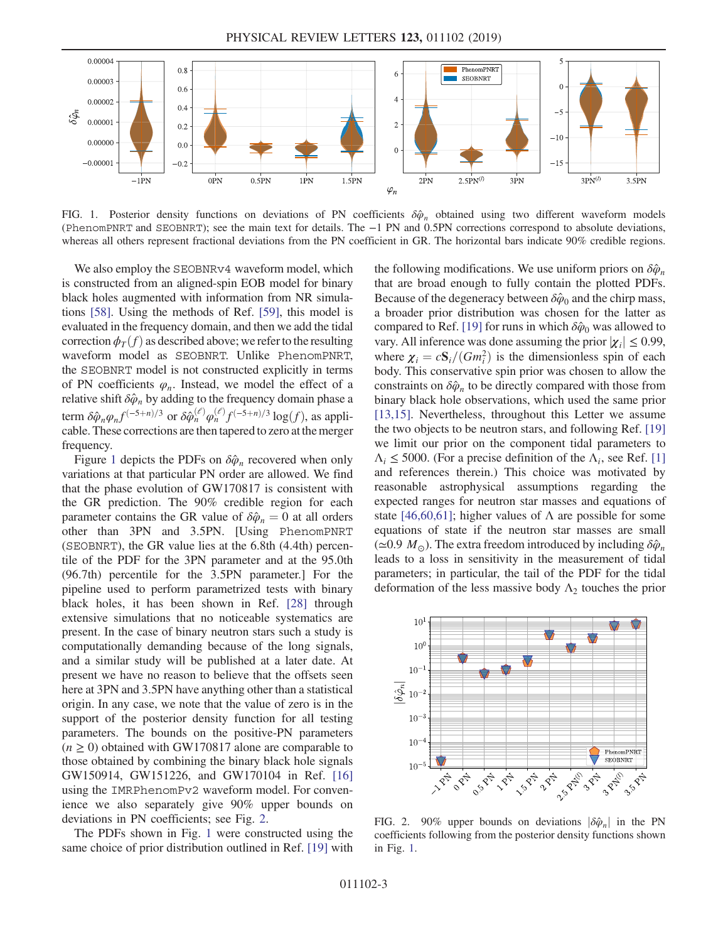<span id="page-4-0"></span>

FIG. 1. Posterior density functions on deviations of PN coefficients  $\delta \hat{\varphi}_n$  obtained using two different waveform models (PhenomPNRT and SEOBNRT); see the main text for details. The −1 PN and 0.5PN corrections correspond to absolute deviations, whereas all others represent fractional deviations from the PN coefficient in GR. The horizontal bars indicate 90% credible regions.

We also employ the SEOBNRv4 waveform model, which is constructed from an aligned-spin EOB model for binary black holes augmented with information from NR simulations [\[58\]](#page-9-18). Using the methods of Ref. [\[59\],](#page-9-19) this model is evaluated in the frequency domain, and then we add the tidal correction  $\phi_T(f)$  as described above; we refer to the resulting waveform model as SEOBNRT. Unlike PhenomPNRT, the SEOBNRT model is not constructed explicitly in terms of PN coefficients  $\varphi_n$ . Instead, we model the effect of a relative shift  $\delta \hat{\varphi}_n$  by adding to the frequency domain phase a term  $\delta \hat{\varphi}_n \varphi_n f^{(-5+n)/3}$  or  $\delta \hat{\varphi}_n^{(\ell)} \varphi_n^{(\ell)} f^{(-5+n)/3} \log(f)$ , as applicable These corrections are then tanered to zero at the merger cable. These corrections are then tapered to zero at the merger frequency.

Figure [1](#page-4-0) depicts the PDFs on  $\delta \hat{\varphi}_n$  recovered when only variations at that particular PN order are allowed. We find that the phase evolution of GW170817 is consistent with the GR prediction. The 90% credible region for each parameter contains the GR value of  $\delta \hat{\varphi}_n = 0$  at all orders other than 3PN and 3.5PN. [Using PhenomPNRT (SEOBNRT), the GR value lies at the 6.8th (4.4th) percentile of the PDF for the 3PN parameter and at the 95.0th (96.7th) percentile for the 3.5PN parameter.] For the pipeline used to perform parametrized tests with binary black holes, it has been shown in Ref. [\[28\]](#page-9-20) through extensive simulations that no noticeable systematics are present. In the case of binary neutron stars such a study is computationally demanding because of the long signals, and a similar study will be published at a later date. At present we have no reason to believe that the offsets seen here at 3PN and 3.5PN have anything other than a statistical origin. In any case, we note that the value of zero is in the support of the posterior density function for all testing parameters. The bounds on the positive-PN parameters  $(n \ge 0)$  obtained with GW170817 alone are comparable to those obtained by combining the binary black hole signals GW150914, GW151226, and GW170104 in Ref. [\[16\]](#page-9-21) using the IMRPhenomPv2 waveform model. For convenience we also separately give 90% upper bounds on deviations in PN coefficients; see Fig. [2](#page-4-1).

The PDFs shown in Fig. [1](#page-4-0) were constructed using the same choice of prior distribution outlined in Ref. [\[19\]](#page-9-0) with the following modifications. We use uniform priors on  $\delta \hat{\varphi}_n$ that are broad enough to fully contain the plotted PDFs. Because of the degeneracy between  $\delta \hat{\varphi}_0$  and the chirp mass, a broader prior distribution was chosen for the latter as compared to Ref. [\[19\]](#page-9-0) for runs in which  $\delta \hat{\varphi}_0$  was allowed to vary. All inference was done assuming the prior  $|\chi_i| \leq 0.99$ , where  $\chi_i = cS_i/(Gm_i^2)$  is the dimensionless spin of each hody. This conservative spin prior was chosen to allow the body. This conservative spin prior was chosen to allow the constraints on  $\delta \hat{\varphi}_n$  to be directly compared with those from binary black hole observations, which used the same prior [\[13,15\]](#page-8-6). Nevertheless, throughout this Letter we assume the two objects to be neutron stars, and following Ref. [\[19\]](#page-9-0) we limit our prior on the component tidal parameters to  $\Lambda_i \leq 5000$ . (For a precise definition of the  $\Lambda_i$ , see Ref. [\[1\]](#page-8-0) and references therein.) This choice was motivated by reasonable astrophysical assumptions regarding the expected ranges for neutron star masses and equations of state [\[46,60,61\];](#page-9-22) higher values of  $\Lambda$  are possible for some equations of state if the neutron star masses are small  $(\simeq 0.9 M_{\odot})$ . The extra freedom introduced by including  $\delta \hat{\varphi}_n$ leads to a loss in sensitivity in the measurement of tidal parameters; in particular, the tail of the PDF for the tidal deformation of the less massive body  $\Lambda_2$  touches the prior

<span id="page-4-1"></span>

FIG. 2. 90% upper bounds on deviations  $|\delta \hat{\varphi}_n|$  in the PN coefficients following from the posterior density functions shown in Fig. [1.](#page-4-0)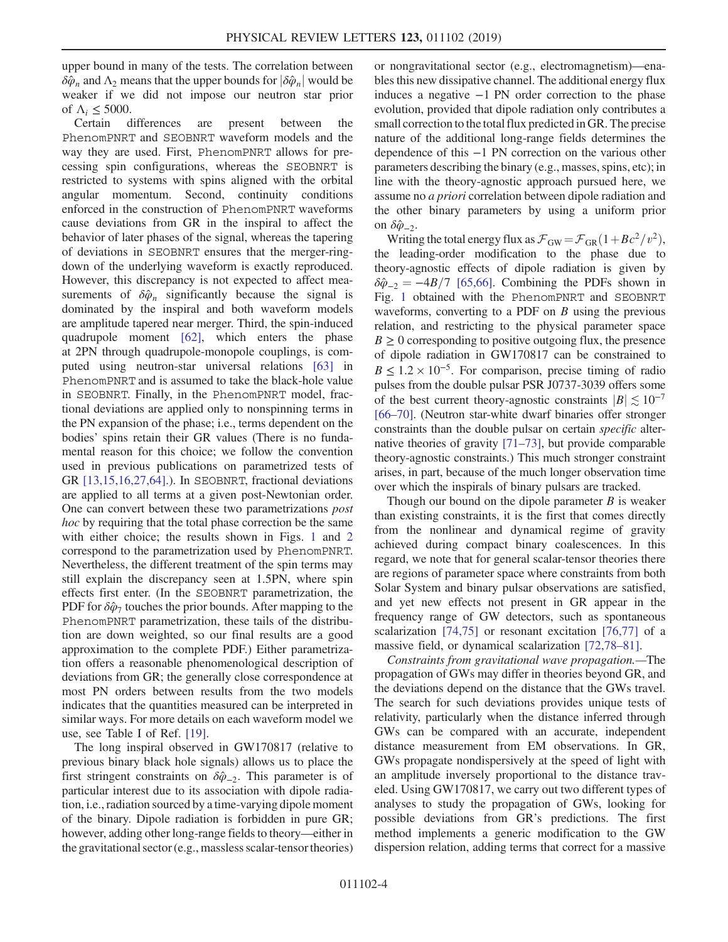upper bound in many of the tests. The correlation between  $\delta \hat{\varphi}_n$  and  $\Lambda_2$  means that the upper bounds for  $|\delta \hat{\varphi}_n|$  would be weaker if we did not impose our neutron star prior of  $\Lambda_i \leq 5000$ .

Certain differences are present between the PhenomPNRT and SEOBNRT waveform models and the way they are used. First, PhenomPNRT allows for precessing spin configurations, whereas the SEOBNRT is restricted to systems with spins aligned with the orbital angular momentum. Second, continuity conditions enforced in the construction of PhenomPNRT waveforms cause deviations from GR in the inspiral to affect the behavior of later phases of the signal, whereas the tapering of deviations in SEOBNRT ensures that the merger-ringdown of the underlying waveform is exactly reproduced. However, this discrepancy is not expected to affect measurements of  $\delta \hat{\varphi}_n$  significantly because the signal is dominated by the inspiral and both waveform models are amplitude tapered near merger. Third, the spin-induced quadrupole moment [\[62\]](#page-9-23), which enters the phase at 2PN through quadrupole-monopole couplings, is computed using neutron-star universal relations [\[63\]](#page-9-24) in PhenomPNRT and is assumed to take the black-hole value in SEOBNRT. Finally, in the PhenomPNRT model, fractional deviations are applied only to nonspinning terms in the PN expansion of the phase; i.e., terms dependent on the bodies' spins retain their GR values (There is no fundamental reason for this choice; we follow the convention used in previous publications on parametrized tests of GR [\[13,15,16,27,64\]](#page-8-6).). In SEOBNRT, fractional deviations are applied to all terms at a given post-Newtonian order. One can convert between these two parametrizations post hoc by requiring that the total phase correction be the same with either choice; the results shown in Figs. [1](#page-4-0) and [2](#page-4-1) correspond to the parametrization used by PhenomPNRT. Nevertheless, the different treatment of the spin terms may still explain the discrepancy seen at 1.5PN, where spin effects first enter. (In the SEOBNRT parametrization, the PDF for  $\delta \hat{\varphi}_7$  touches the prior bounds. After mapping to the PhenomPNRT parametrization, these tails of the distribution are down weighted, so our final results are a good approximation to the complete PDF.) Either parametrization offers a reasonable phenomenological description of deviations from GR; the generally close correspondence at most PN orders between results from the two models indicates that the quantities measured can be interpreted in similar ways. For more details on each waveform model we use, see Table I of Ref. [\[19\]](#page-9-0).

The long inspiral observed in GW170817 (relative to previous binary black hole signals) allows us to place the first stringent constraints on  $\delta \hat{\varphi}_{-2}$ . This parameter is of particular interest due to its association with dipole radiation, i.e., radiation sourced by a time-varying dipole moment of the binary. Dipole radiation is forbidden in pure GR; however, adding other long-range fields to theory—either in the gravitational sector (e.g., massless scalar-tensor theories) or nongravitational sector (e.g., electromagnetism)—enables this new dissipative channel. The additional energy flux induces a negative −1 PN order correction to the phase evolution, provided that dipole radiation only contributes a small correction to the total flux predicted in GR. The precise nature of the additional long-range fields determines the dependence of this −1 PN correction on the various other parameters describing the binary (e.g., masses, spins, etc); in line with the theory-agnostic approach pursued here, we assume no a priori correlation between dipole radiation and the other binary parameters by using a uniform prior on  $\delta \hat{\varphi}_{-2}$ .

Writing the total energy flux as  $\mathcal{F}_{GW} = \mathcal{F}_{GR} (1 + Bc^2/v^2)$ , the leading-order modification to the phase due to theory-agnostic effects of dipole radiation is given by  $\delta \hat{\varphi}_{-2} = -4B/7$  [\[65,66\]](#page-9-25). Combining the PDFs shown in Fig. [1](#page-4-0) obtained with the PhenomPNRT and SEOBNRT waveforms, converting to a PDF on  $B$  using the previous relation, and restricting to the physical parameter space  $B \ge 0$  corresponding to positive outgoing flux, the presence of dipole radiation in GW170817 can be constrained to  $B \leq 1.2 \times 10^{-5}$ . For comparison, precise timing of radio pulses from the double pulsar PSR J0737-3039 offers some of the best current theory-agnostic constraints  $|B| \le 10^{-7}$ [66–[70\].](#page-9-26) (Neutron star-white dwarf binaries offer stronger constraints than the double pulsar on certain specific alternative theories of gravity [\[71](#page-9-27)–73], but provide comparable theory-agnostic constraints.) This much stronger constraint arises, in part, because of the much longer observation time over which the inspirals of binary pulsars are tracked.

Though our bound on the dipole parameter  $B$  is weaker than existing constraints, it is the first that comes directly from the nonlinear and dynamical regime of gravity achieved during compact binary coalescences. In this regard, we note that for general scalar-tensor theories there are regions of parameter space where constraints from both Solar System and binary pulsar observations are satisfied, and yet new effects not present in GR appear in the frequency range of GW detectors, such as spontaneous scalarization [\[74,75\]](#page-9-28) or resonant excitation [\[76,77\]](#page-9-29) of a massive field, or dynamical scalarization [\[72,78](#page-9-30)–81].

Constraints from gravitational wave propagation.—The propagation of GWs may differ in theories beyond GR, and the deviations depend on the distance that the GWs travel. The search for such deviations provides unique tests of relativity, particularly when the distance inferred through GWs can be compared with an accurate, independent distance measurement from EM observations. In GR, GWs propagate nondispersively at the speed of light with an amplitude inversely proportional to the distance traveled. Using GW170817, we carry out two different types of analyses to study the propagation of GWs, looking for possible deviations from GR's predictions. The first method implements a generic modification to the GW dispersion relation, adding terms that correct for a massive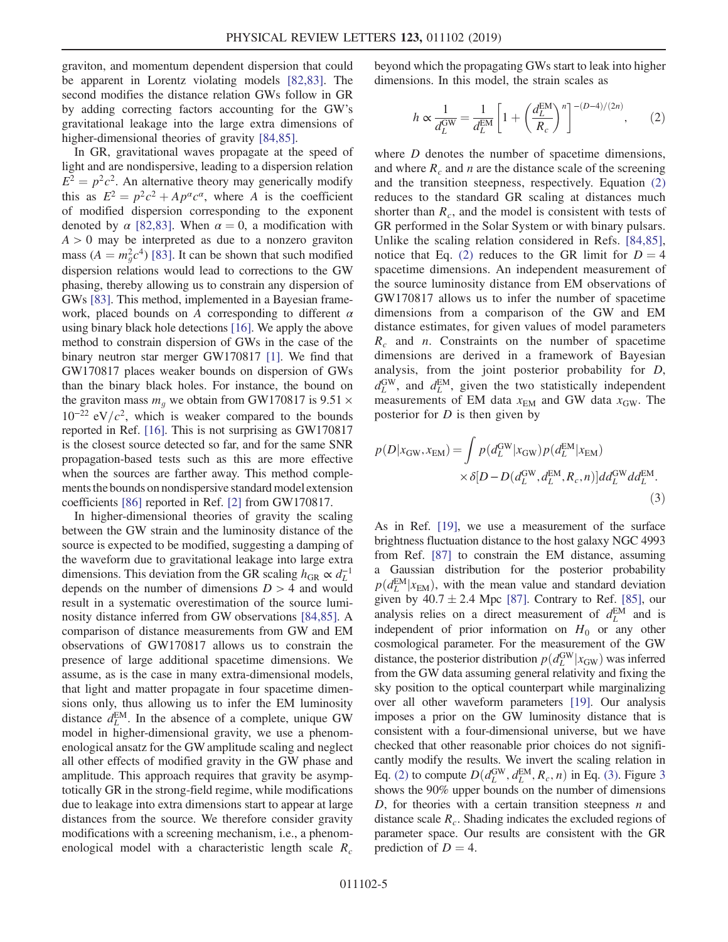graviton, and momentum dependent dispersion that could be apparent in Lorentz violating models [\[82,83\]](#page-10-0). The second modifies the distance relation GWs follow in GR by adding correcting factors accounting for the GW's gravitational leakage into the large extra dimensions of higher-dimensional theories of gravity [\[84,85\]](#page-10-1).

In GR, gravitational waves propagate at the speed of light and are nondispersive, leading to a dispersion relation  $E^2 = p^2c^2$ . An alternative theory may generically modify this as  $E^2 = p^2c^2 + Ap^{\alpha}c^{\alpha}$ , where A is the coefficient of modified dispersion corresponding to the exponent denoted by  $\alpha$  [\[82,83\].](#page-10-0) When  $\alpha = 0$ , a modification with  $A > 0$  may be interpreted as due to a nonzero graviton mass  $(A = m_g^2 c^4)$  [\[83\].](#page-10-2) It can be shown that such modified<br>dispersion relations would lead to corrections to the GW dispersion relations would lead to corrections to the GW phasing, thereby allowing us to constrain any dispersion of GWs [\[83\].](#page-10-2) This method, implemented in a Bayesian framework, placed bounds on A corresponding to different  $\alpha$ using binary black hole detections [\[16\]](#page-9-21). We apply the above method to constrain dispersion of GWs in the case of the binary neutron star merger GW170817 [\[1\].](#page-8-0) We find that GW170817 places weaker bounds on dispersion of GWs than the binary black holes. For instance, the bound on the graviton mass  $m<sub>g</sub>$  we obtain from GW170817 is 9.51  $\times$  $10^{-22}$  eV/ $c^2$ , which is weaker compared to the bounds reported in Ref. [\[16\]](#page-9-21). This is not surprising as GW170817 is the closest source detected so far, and for the same SNR propagation-based tests such as this are more effective when the sources are farther away. This method complements the bounds on nondispersive standard model extension coefficients [\[86\]](#page-10-3) reported in Ref. [\[2\]](#page-8-1) from GW170817.

In higher-dimensional theories of gravity the scaling between the GW strain and the luminosity distance of the source is expected to be modified, suggesting a damping of the waveform due to gravitational leakage into large extra dimensions. This deviation from the GR scaling  $h_{\text{GR}} \propto d_L^{-1}$ depends on the number of dimensions  $D > 4$  and would result in a systematic overestimation of the source luminosity distance inferred from GW observations [\[84,85\].](#page-10-1) A comparison of distance measurements from GW and EM observations of GW170817 allows us to constrain the presence of large additional spacetime dimensions. We assume, as is the case in many extra-dimensional models, that light and matter propagate in four spacetime dimensions only, thus allowing us to infer the EM luminosity distance  $d_L^{EM}$ . In the absence of a complete, unique GW model in higher-dimensional gravity, we use a phenomenological ansatz for the GW amplitude scaling and neglect all other effects of modified gravity in the GW phase and amplitude. This approach requires that gravity be asymptotically GR in the strong-field regime, while modifications due to leakage into extra dimensions start to appear at large distances from the source. We therefore consider gravity modifications with a screening mechanism, i.e., a phenomenological model with a characteristic length scale  $R_c$  <span id="page-6-0"></span>beyond which the propagating GWs start to leak into higher dimensions. In this model, the strain scales as

$$
h \propto \frac{1}{d_L^{\text{GW}}} = \frac{1}{d_L^{\text{EM}}} \left[ 1 + \left( \frac{d_L^{\text{EM}}}{R_c} \right)^n \right]^{-(D-4)/(2n)},\tag{2}
$$

where *D* denotes the number of spacetime dimensions, and where  $R_c$  and n are the distance scale of the screening and the transition steepness, respectively. Equation [\(2\)](#page-6-0) reduces to the standard GR scaling at distances much shorter than  $R_c$ , and the model is consistent with tests of GR performed in the Solar System or with binary pulsars. Unlike the scaling relation considered in Refs. [\[84,85\]](#page-10-1), notice that Eq. [\(2\)](#page-6-0) reduces to the GR limit for  $D = 4$ spacetime dimensions. An independent measurement of the source luminosity distance from EM observations of GW170817 allows us to infer the number of spacetime dimensions from a comparison of the GW and EM distance estimates, for given values of model parameters  $R_c$  and *n*. Constraints on the number of spacetime dimensions are derived in a framework of Bayesian analysis, from the joint posterior probability for D,  $d_L^{\text{GW}}$ , and  $d_L^{\text{EM}}$ , given the two statistically independent measurements of EM data  $x_{EM}$  and GW data  $x_{GW}$ . The posterior for  $D$  is then given by

<span id="page-6-1"></span>
$$
p(D|x_{\rm GW}, x_{\rm EM}) = \int p(d_L^{\rm GW}|x_{\rm GW})p(d_L^{\rm EM}|x_{\rm EM}) \times \delta[D - D(d_L^{\rm GW}, d_L^{\rm EM}, R_c, n)] d d_L^{\rm GW} d d_L^{\rm EM}.
$$
\n(3)

As in Ref. [\[19\],](#page-9-0) we use a measurement of the surface brightness fluctuation distance to the host galaxy NGC 4993 from Ref. [\[87\]](#page-10-4) to constrain the EM distance, assuming a Gaussian distribution for the posterior probability  $p(d<sub>L</sub>EM | x<sub>EM</sub>)$ , with the mean value and standard deviation<br>given by 40.7 + 2.4 Mpc [87]. Contrary to Ref. [85], our given by  $40.7 \pm 2.4$  Mpc [\[87\]](#page-10-4). Contrary to Ref. [\[85\],](#page-10-5) our analysis relies on a direct measurement of  $d_L^{\text{EM}}$  and is independent of prior information on  $H_0$  or any other cosmological parameter. For the measurement of the GW distance, the posterior distribution  $p(d_L^{\text{GW}}|x_{\text{GW}})$  was inferred from the GW data assuming general relativity and fixing the from the GW data assuming general relativity and fixing the sky position to the optical counterpart while marginalizing over all other waveform parameters [\[19\].](#page-9-0) Our analysis imposes a prior on the GW luminosity distance that is consistent with a four-dimensional universe, but we have checked that other reasonable prior choices do not significantly modify the results. We invert the scaling relation in Eq. [\(2\)](#page-6-0) to compute  $D(d_L^{\text{GW}}, d_L^{\text{EM}}, R_c, n)$  in Eq. [\(3\).](#page-6-1) Figure [3](#page-7-0)<br>shows the 90% upper bounds on the number of dimensions shows the 90% upper bounds on the number of dimensions D, for theories with a certain transition steepness  $n$  and distance scale  $R_c$ . Shading indicates the excluded regions of parameter space. Our results are consistent with the GR prediction of  $D = 4$ .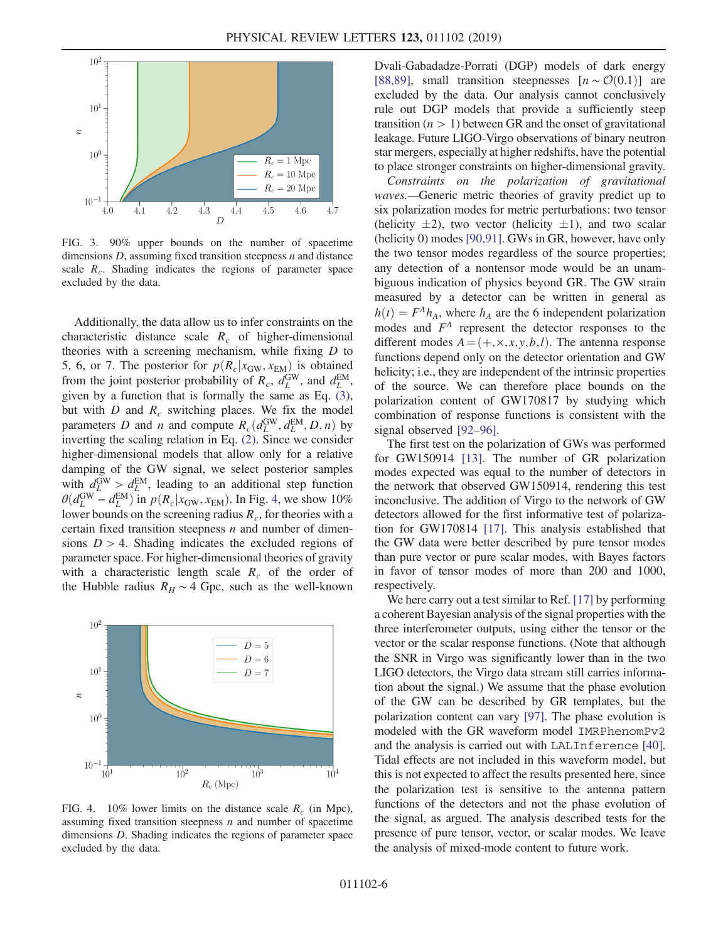<span id="page-7-0"></span>

FIG. 3. 90% upper bounds on the number of spacetime dimensions  $D$ , assuming fixed transition steepness  $n$  and distance scale  $R_c$ . Shading indicates the regions of parameter space excluded by the data.

Additionally, the data allow us to infer constraints on the characteristic distance scale  $R_c$  of higher-dimensional theories with a screening mechanism, while fixing  $D$  to 5, 6, or 7. The posterior for  $p(R_c|x_{\text{GW}}, x_{\text{EM}})$  is obtained from the joint posterior probability of  $R_c$ ,  $d_L^{\text{GW}}$ , and  $d_L^{\text{EM}}$ , given by a function that is formally the same as Eq. [\(3\)](#page-6-1), but with  $D$  and  $R_c$  switching places. We fix the model parameters D and n and compute  $R_c(d_L^{\text{GW}}, d_L^{\text{EM}}, D, n)$  by<br>inverting the scaling relation in Eq. (2). Since we consider inverting the scaling relation in Eq. [\(2\)](#page-6-0). Since we consider higher-dimensional models that allow only for a relative damping of the GW signal, we select posterior samples with  $d_L^{\text{GW}} > d_L^{\text{EM}}$ , leading to an additional step function  $\theta(d_L^{\text{GW}} - d_L^{\text{EM}})$  in  $p(R_c|x_{\text{GW}}, x_{\text{EM}})$ . In Fig. [4,](#page-7-1) we show 10% lower bounds on the screening radius R for theories with a lower bounds on the screening radius  $R_c$ , for theories with a certain fixed transition steepness  $n$  and number of dimensions  $D > 4$ . Shading indicates the excluded regions of parameter space. For higher-dimensional theories of gravity with a characteristic length scale  $R_c$  of the order of the Hubble radius  $R_H \sim 4$  Gpc, such as the well-known

<span id="page-7-1"></span>

FIG. 4. 10% lower limits on the distance scale  $R_c$  (in Mpc), assuming fixed transition steepness  $n$  and number of spacetime dimensions D. Shading indicates the regions of parameter space excluded by the data.

Dvali-Gabadadze-Porrati (DGP) models of dark energy [\[88,89\]](#page-10-6), small transition steepnesses  $[n \sim \mathcal{O}(0.1)]$  are excluded by the data. Our analysis cannot conclusively rule out DGP models that provide a sufficiently steep transition  $(n > 1)$  between GR and the onset of gravitational leakage. Future LIGO-Virgo observations of binary neutron star mergers, especially at higher redshifts, have the potential to place stronger constraints on higher-dimensional gravity.

Constraints on the polarization of gravitational waves.—Generic metric theories of gravity predict up to six polarization modes for metric perturbations: two tensor (helicity  $\pm 2$ ), two vector (helicity  $\pm 1$ ), and two scalar (helicity 0) modes [\[90,91\]](#page-10-7). GWs in GR, however, have only the two tensor modes regardless of the source properties; any detection of a nontensor mode would be an unambiguous indication of physics beyond GR. The GW strain measured by a detector can be written in general as  $h(t) = F<sup>A</sup>h<sub>A</sub>$ , where  $h<sub>A</sub>$  are the 6 independent polarization modes and  $F<sup>A</sup>$  represent the detector responses to the different modes  $A = (+, \times, x, y, b, l)$ . The antenna response functions depend only on the detector orientation and GW helicity; i.e., they are independent of the intrinsic properties of the source. We can therefore place bounds on the polarization content of GW170817 by studying which combination of response functions is consistent with the signal observed [92–[96\].](#page-10-8)

The first test on the polarization of GWs was performed for GW150914 [\[13\].](#page-8-6) The number of GR polarization modes expected was equal to the number of detectors in the network that observed GW150914, rendering this test inconclusive. The addition of Virgo to the network of GW detectors allowed for the first informative test of polarization for GW170814 [\[17\]](#page-9-31). This analysis established that the GW data were better described by pure tensor modes than pure vector or pure scalar modes, with Bayes factors in favor of tensor modes of more than 200 and 1000, respectively.

We here carry out a test similar to Ref. [\[17\]](#page-9-31) by performing a coherent Bayesian analysis of the signal properties with the three interferometer outputs, using either the tensor or the vector or the scalar response functions. (Note that although the SNR in Virgo was significantly lower than in the two LIGO detectors, the Virgo data stream still carries information about the signal.) We assume that the phase evolution of the GW can be described by GR templates, but the polarization content can vary [\[97\].](#page-10-9) The phase evolution is modeled with the GR waveform model IMRPhenomPv2 and the analysis is carried out with LALInference [\[40\]](#page-9-5). Tidal effects are not included in this waveform model, but this is not expected to affect the results presented here, since the polarization test is sensitive to the antenna pattern functions of the detectors and not the phase evolution of the signal, as argued. The analysis described tests for the presence of pure tensor, vector, or scalar modes. We leave the analysis of mixed-mode content to future work.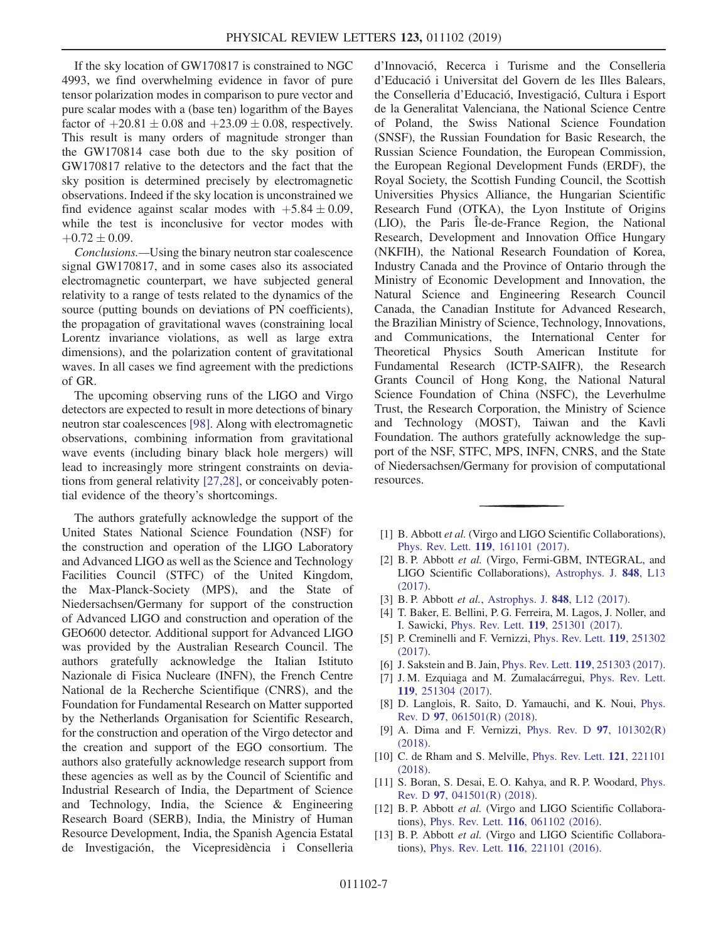If the sky location of GW170817 is constrained to NGC 4993, we find overwhelming evidence in favor of pure tensor polarization modes in comparison to pure vector and pure scalar modes with a (base ten) logarithm of the Bayes factor of  $+20.81 \pm 0.08$  and  $+23.09 \pm 0.08$ , respectively. This result is many orders of magnitude stronger than the GW170814 case both due to the sky position of GW170817 relative to the detectors and the fact that the sky position is determined precisely by electromagnetic observations. Indeed if the sky location is unconstrained we find evidence against scalar modes with  $+5.84 \pm 0.09$ , while the test is inconclusive for vector modes with  $+0.72 \pm 0.09$ .

Conclusions.—Using the binary neutron star coalescence signal GW170817, and in some cases also its associated electromagnetic counterpart, we have subjected general relativity to a range of tests related to the dynamics of the source (putting bounds on deviations of PN coefficients), the propagation of gravitational waves (constraining local Lorentz invariance violations, as well as large extra dimensions), and the polarization content of gravitational waves. In all cases we find agreement with the predictions of GR.

The upcoming observing runs of the LIGO and Virgo detectors are expected to result in more detections of binary neutron star coalescences [\[98\].](#page-10-10) Along with electromagnetic observations, combining information from gravitational wave events (including binary black hole mergers) will lead to increasingly more stringent constraints on deviations from general relativity [\[27,28\]](#page-9-6), or conceivably potential evidence of the theory's shortcomings.

The authors gratefully acknowledge the support of the United States National Science Foundation (NSF) for the construction and operation of the LIGO Laboratory and Advanced LIGO as well as the Science and Technology Facilities Council (STFC) of the United Kingdom, the Max-Planck-Society (MPS), and the State of Niedersachsen/Germany for support of the construction of Advanced LIGO and construction and operation of the GEO600 detector. Additional support for Advanced LIGO was provided by the Australian Research Council. The authors gratefully acknowledge the Italian Istituto Nazionale di Fisica Nucleare (INFN), the French Centre National de la Recherche Scientifique (CNRS), and the Foundation for Fundamental Research on Matter supported by the Netherlands Organisation for Scientific Research, for the construction and operation of the Virgo detector and the creation and support of the EGO consortium. The authors also gratefully acknowledge research support from these agencies as well as by the Council of Scientific and Industrial Research of India, the Department of Science and Technology, India, the Science & Engineering Research Board (SERB), India, the Ministry of Human Resource Development, India, the Spanish Agencia Estatal de Investigación, the Vicepresidència i Conselleria d'Innovació, Recerca i Turisme and the Conselleria d'Educació i Universitat del Govern de les Illes Balears, the Conselleria d'Educació, Investigació, Cultura i Esport de la Generalitat Valenciana, the National Science Centre of Poland, the Swiss National Science Foundation (SNSF), the Russian Foundation for Basic Research, the Russian Science Foundation, the European Commission, the European Regional Development Funds (ERDF), the Royal Society, the Scottish Funding Council, the Scottish Universities Physics Alliance, the Hungarian Scientific Research Fund (OTKA), the Lyon Institute of Origins (LIO), the Paris Île-de-France Region, the National Research, Development and Innovation Office Hungary (NKFIH), the National Research Foundation of Korea, Industry Canada and the Province of Ontario through the Ministry of Economic Development and Innovation, the Natural Science and Engineering Research Council Canada, the Canadian Institute for Advanced Research, the Brazilian Ministry of Science, Technology, Innovations, and Communications, the International Center for Theoretical Physics South American Institute for Fundamental Research (ICTP-SAIFR), the Research Grants Council of Hong Kong, the National Natural Science Foundation of China (NSFC), the Leverhulme Trust, the Research Corporation, the Ministry of Science and Technology (MOST), Taiwan and the Kavli Foundation. The authors gratefully acknowledge the support of the NSF, STFC, MPS, INFN, CNRS, and the State of Niedersachsen/Germany for provision of computational resources.

- <span id="page-8-0"></span>[1] B. Abbott et al. (Virgo and LIGO Scientific Collaborations), Phys. Rev. Lett. 119[, 161101 \(2017\).](https://doi.org/10.1103/PhysRevLett.119.161101)
- <span id="page-8-1"></span>[2] B. P. Abbott et al. (Virgo, Fermi-GBM, INTEGRAL, and LIGO Scientific Collaborations), [Astrophys. J.](https://doi.org/10.3847/2041-8213/aa920c) 848, L13 [\(2017\).](https://doi.org/10.3847/2041-8213/aa920c)
- <span id="page-8-2"></span>[3] B. P. Abbott *et al.*, [Astrophys. J.](https://doi.org/10.3847/2041-8213/aa91c9) **848**, L12 (2017).
- <span id="page-8-3"></span>[4] T. Baker, E. Bellini, P. G. Ferreira, M. Lagos, J. Noller, and I. Sawicki, Phys. Rev. Lett. 119[, 251301 \(2017\).](https://doi.org/10.1103/PhysRevLett.119.251301)
- [5] P. Creminelli and F. Vernizzi, [Phys. Rev. Lett.](https://doi.org/10.1103/PhysRevLett.119.251302) 119, 251302 [\(2017\).](https://doi.org/10.1103/PhysRevLett.119.251302)
- [6] J. Sakstein and B. Jain, *Phys. Rev. Lett.* **119**[, 251303 \(2017\).](https://doi.org/10.1103/PhysRevLett.119.251303)
- [7] J. M. Ezquiaga and M. Zumalacárregui, [Phys. Rev. Lett.](https://doi.org/10.1103/PhysRevLett.119.251304) 119[, 251304 \(2017\).](https://doi.org/10.1103/PhysRevLett.119.251304)
- [8] D. Langlois, R. Saito, D. Yamauchi, and K. Noui, [Phys.](https://doi.org/10.1103/PhysRevD.97.061501) Rev. D 97[, 061501\(R\) \(2018\).](https://doi.org/10.1103/PhysRevD.97.061501)
- [9] A. Dima and F. Vernizzi, [Phys. Rev. D](https://doi.org/10.1103/PhysRevD.97.101302) 97, 101302(R) [\(2018\).](https://doi.org/10.1103/PhysRevD.97.101302)
- [10] C. de Rham and S. Melville, *[Phys. Rev. Lett.](https://doi.org/10.1103/PhysRevLett.121.221101)* **121**, 221101 [\(2018\).](https://doi.org/10.1103/PhysRevLett.121.221101)
- <span id="page-8-4"></span>[11] S. Boran, S. Desai, E. O. Kahya, and R. P. Woodard, [Phys.](https://doi.org/10.1103/PhysRevD.97.041501) Rev. D 97[, 041501\(R\) \(2018\).](https://doi.org/10.1103/PhysRevD.97.041501)
- <span id="page-8-5"></span>[12] B. P. Abbott et al. (Virgo and LIGO Scientific Collaborations), Phys. Rev. Lett. 116[, 061102 \(2016\).](https://doi.org/10.1103/PhysRevLett.116.061102)
- <span id="page-8-6"></span>[13] B. P. Abbott et al. (Virgo and LIGO Scientific Collaborations), Phys. Rev. Lett. 116[, 221101 \(2016\).](https://doi.org/10.1103/PhysRevLett.116.221101)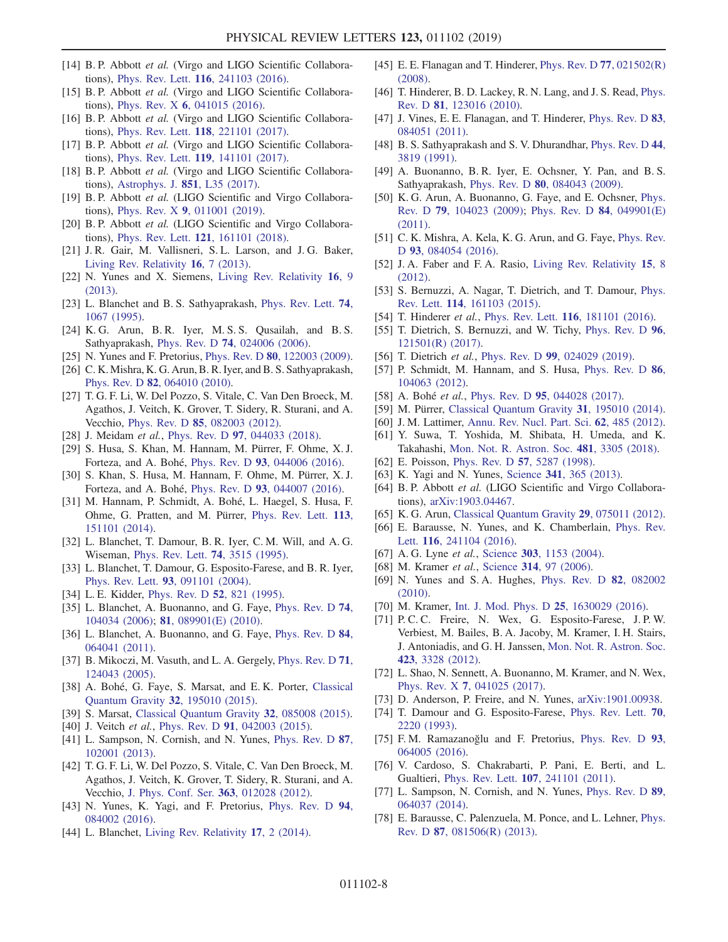- [14] B. P. Abbott et al. (Virgo and LIGO Scientific Collaborations), Phys. Rev. Lett. 116[, 241103 \(2016\).](https://doi.org/10.1103/PhysRevLett.116.241103)
- [15] B. P. Abbott et al. (Virgo and LIGO Scientific Collaborations), Phys. Rev. X 6[, 041015 \(2016\).](https://doi.org/10.1103/PhysRevX.6.041015)
- <span id="page-9-21"></span>[16] B. P. Abbott et al. (Virgo and LIGO Scientific Collaborations), Phys. Rev. Lett. 118[, 221101 \(2017\).](https://doi.org/10.1103/PhysRevLett.118.221101)
- <span id="page-9-31"></span>[17] B. P. Abbott et al. (Virgo and LIGO Scientific Collaborations), Phys. Rev. Lett. 119[, 141101 \(2017\).](https://doi.org/10.1103/PhysRevLett.119.141101)
- [18] B. P. Abbott et al. (Virgo and LIGO Scientific Collaborations), [Astrophys. J.](https://doi.org/10.3847/2041-8213/aa9f0c) 851, L35 (2017).
- <span id="page-9-0"></span>[19] B. P. Abbott et al. (LIGO Scientific and Virgo Collaborations), Phys. Rev. X 9[, 011001 \(2019\).](https://doi.org/10.1103/PhysRevX.9.011001)
- [20] B. P. Abbott et al. (LIGO Scientific and Virgo Collaborations), Phys. Rev. Lett. 121[, 161101 \(2018\).](https://doi.org/10.1103/PhysRevLett.121.161101)
- <span id="page-9-1"></span>[21] J. R. Gair, M. Vallisneri, S. L. Larson, and J. G. Baker, [Living Rev. Relativity](https://doi.org/10.12942/lrr-2013-7) 16, 7 (2013).
- <span id="page-9-2"></span>[22] N. Yunes and X. Siemens, [Living Rev. Relativity](https://doi.org/10.12942/lrr-2013-9) 16, 9 [\(2013\).](https://doi.org/10.12942/lrr-2013-9)
- [23] L. Blanchet and B. S. Sathyaprakash, [Phys. Rev. Lett.](https://doi.org/10.1103/PhysRevLett.74.1067) **74**, [1067 \(1995\)](https://doi.org/10.1103/PhysRevLett.74.1067).
- [24] K. G. Arun, B. R. Iyer, M. S. S. Qusailah, and B. S. Sathyaprakash, Phys. Rev. D 74[, 024006 \(2006\)](https://doi.org/10.1103/PhysRevD.74.024006).
- [25] N. Yunes and F. Pretorius, Phys. Rev. D **80**[, 122003 \(2009\).](https://doi.org/10.1103/PhysRevD.80.122003)
- [26] C. K. Mishra, K. G. Arun, B. R. Iyer, and B. S. Sathyaprakash, Phys. Rev. D 82[, 064010 \(2010\).](https://doi.org/10.1103/PhysRevD.82.064010)
- <span id="page-9-6"></span>[27] T. G. F. Li, W. Del Pozzo, S. Vitale, C. Van Den Broeck, M. Agathos, J. Veitch, K. Grover, T. Sidery, R. Sturani, and A. Vecchio, Phys. Rev. D 85[, 082003 \(2012\).](https://doi.org/10.1103/PhysRevD.85.082003)
- <span id="page-9-20"></span><span id="page-9-3"></span>[28] J. Meidam et al., Phys. Rev. D 97[, 044033 \(2018\)](https://doi.org/10.1103/PhysRevD.97.044033).
- [29] S. Husa, S. Khan, M. Hannam, M. Pürrer, F. Ohme, X. J. Forteza, and A. Bohé, Phys. Rev. D 93[, 044006 \(2016\)](https://doi.org/10.1103/PhysRevD.93.044006).
- [30] S. Khan, S. Husa, M. Hannam, F. Ohme, M. Pürrer, X. J. Forteza, and A. Bohé, Phys. Rev. D 93[, 044007 \(2016\)](https://doi.org/10.1103/PhysRevD.93.044007).
- [31] M. Hannam, P. Schmidt, A. Bohé, L. Haegel, S. Husa, F. Ohme, G. Pratten, and M. Pürrer, [Phys. Rev. Lett.](https://doi.org/10.1103/PhysRevLett.113.151101) 113, [151101 \(2014\).](https://doi.org/10.1103/PhysRevLett.113.151101)
- <span id="page-9-4"></span>[32] L. Blanchet, T. Damour, B. R. Iyer, C. M. Will, and A. G. Wiseman, [Phys. Rev. Lett.](https://doi.org/10.1103/PhysRevLett.74.3515) 74, 3515 (1995).
- [33] L. Blanchet, T. Damour, G. Esposito-Farese, and B. R. Iyer, Phys. Rev. Lett. 93[, 091101 \(2004\)](https://doi.org/10.1103/PhysRevLett.93.091101).
- <span id="page-9-9"></span>[34] L. E. Kidder, [Phys. Rev. D](https://doi.org/10.1103/PhysRevD.52.821) **52**, 821 (1995).
- [35] L. Blanchet, A. Buonanno, and G. Faye, [Phys. Rev. D](https://doi.org/10.1103/PhysRevD.74.104034) **74**, [104034 \(2006\);](https://doi.org/10.1103/PhysRevD.74.104034) 81[, 089901\(E\) \(2010\).](https://doi.org/10.1103/PhysRevD.81.089901)
- [36] L. Blanchet, A. Buonanno, and G. Faye, [Phys. Rev. D](https://doi.org/10.1103/PhysRevD.84.064041) 84, [064041 \(2011\).](https://doi.org/10.1103/PhysRevD.84.064041)
- [37] B. Mikoczi, M. Vasuth, and L. A. Gergely, [Phys. Rev. D](https://doi.org/10.1103/PhysRevD.71.124043) 71, [124043 \(2005\).](https://doi.org/10.1103/PhysRevD.71.124043)
- [38] A. Bohé, G. Faye, S. Marsat, and E. K. Porter, [Classical](https://doi.org/10.1088/0264-9381/32/19/195010) [Quantum Gravity](https://doi.org/10.1088/0264-9381/32/19/195010) 32, 195010 (2015).
- <span id="page-9-5"></span>[39] S. Marsat, [Classical Quantum Gravity](https://doi.org/10.1088/0264-9381/32/8/085008) 32, 085008 (2015).
- [40] J. Veitch et al., Phys. Rev. D 91[, 042003 \(2015\).](https://doi.org/10.1103/PhysRevD.91.042003)
- [41] L. Sampson, N. Cornish, and N. Yunes, [Phys. Rev. D](https://doi.org/10.1103/PhysRevD.87.102001) 87, [102001 \(2013\).](https://doi.org/10.1103/PhysRevD.87.102001)
- [42] T. G. F. Li, W. Del Pozzo, S. Vitale, C. Van Den Broeck, M. Agathos, J. Veitch, K. Grover, T. Sidery, R. Sturani, and A. Vecchio, [J. Phys. Conf. Ser.](https://doi.org/10.1088/1742-6596/363/1/012028) 363, 012028 (2012).
- <span id="page-9-8"></span><span id="page-9-7"></span>[43] N. Yunes, K. Yagi, and F. Pretorius, [Phys. Rev. D](https://doi.org/10.1103/PhysRevD.94.084002) 94, [084002 \(2016\).](https://doi.org/10.1103/PhysRevD.94.084002)
- [44] L. Blanchet, [Living Rev. Relativity](https://doi.org/10.12942/lrr-2014-2) 17, 2 (2014).
- <span id="page-9-10"></span>[45] E. E. Flanagan and T. Hinderer, *[Phys. Rev. D](https://doi.org/10.1103/PhysRevD.77.021502)* **77**, 021502(*R*) [\(2008\).](https://doi.org/10.1103/PhysRevD.77.021502)
- <span id="page-9-22"></span>[46] T. Hinderer, B. D. Lackey, R. N. Lang, and J. S. Read, [Phys.](https://doi.org/10.1103/PhysRevD.81.123016) Rev. D 81[, 123016 \(2010\)](https://doi.org/10.1103/PhysRevD.81.123016).
- [47] J. Vines, E. E. Flanagan, and T. Hinderer, [Phys. Rev. D](https://doi.org/10.1103/PhysRevD.83.084051) 83, [084051 \(2011\).](https://doi.org/10.1103/PhysRevD.83.084051)
- <span id="page-9-11"></span>[48] B. S. Sathyaprakash and S. V. Dhurandhar, [Phys. Rev. D](https://doi.org/10.1103/PhysRevD.44.3819) 44, [3819 \(1991\)](https://doi.org/10.1103/PhysRevD.44.3819).
- <span id="page-9-12"></span>[49] A. Buonanno, B. R. Iyer, E. Ochsner, Y. Pan, and B. S. Sathyaprakash, Phys. Rev. D 80[, 084043 \(2009\)](https://doi.org/10.1103/PhysRevD.80.084043).
- [50] K. G. Arun, A. Buonanno, G. Faye, and E. Ochsner, [Phys.](https://doi.org/10.1103/PhysRevD.79.104023) Rev. D 79[, 104023 \(2009\)](https://doi.org/10.1103/PhysRevD.79.104023); [Phys. Rev. D](https://doi.org/10.1103/PhysRevD.84.049901) 84, 049901(E) [\(2011\).](https://doi.org/10.1103/PhysRevD.84.049901)
- [51] C. K. Mishra, A. Kela, K. G. Arun, and G. Faye, *[Phys. Rev.](https://doi.org/10.1103/PhysRevD.93.084054)* D 93[, 084054 \(2016\)](https://doi.org/10.1103/PhysRevD.93.084054).
- <span id="page-9-13"></span>[52] J. A. Faber and F. A. Rasio, [Living Rev. Relativity](https://doi.org/10.12942/lrr-2012-8) 15, 8 [\(2012\).](https://doi.org/10.12942/lrr-2012-8)
- <span id="page-9-14"></span>[53] S. Bernuzzi, A. Nagar, T. Dietrich, and T. Damour, [Phys.](https://doi.org/10.1103/PhysRevLett.114.161103) Rev. Lett. 114[, 161103 \(2015\).](https://doi.org/10.1103/PhysRevLett.114.161103)
- <span id="page-9-15"></span>[54] T. Hinderer et al., Phys. Rev. Lett. **116**[, 181101 \(2016\).](https://doi.org/10.1103/PhysRevLett.116.181101)
- [55] T. Dietrich, S. Bernuzzi, and W. Tichy, [Phys. Rev. D](https://doi.org/10.1103/PhysRevD.96.121501) 96, [121501\(R\) \(2017\)](https://doi.org/10.1103/PhysRevD.96.121501).
- <span id="page-9-17"></span><span id="page-9-16"></span>[56] T. Dietrich *et al.*, Phys. Rev. D **99**[, 024029 \(2019\).](https://doi.org/10.1103/PhysRevD.99.024029)
- [57] P. Schmidt, M. Hannam, and S. Husa, [Phys. Rev. D](https://doi.org/10.1103/PhysRevD.86.104063) 86, [104063 \(2012\).](https://doi.org/10.1103/PhysRevD.86.104063)
- <span id="page-9-19"></span><span id="page-9-18"></span>[58] A. Bohé *et al.*, Phys. Rev. D **95**[, 044028 \(2017\).](https://doi.org/10.1103/PhysRevD.95.044028)
- [59] M. Pürrer, [Classical Quantum Gravity](https://doi.org/10.1088/0264-9381/31/19/195010) **31**, 195010 (2014).
- [60] J. M. Lattimer, [Annu. Rev. Nucl. Part. Sci.](https://doi.org/10.1146/annurev-nucl-102711-095018) 62, 485 (2012).
- [61] Y. Suwa, T. Yoshida, M. Shibata, H. Umeda, and K. Takahashi, [Mon. Not. R. Astron. Soc.](https://doi.org/10.1093/mnras/sty2460) 481, 3305 (2018).
- <span id="page-9-24"></span><span id="page-9-23"></span>[62] E. Poisson, Phys. Rev. D **57**[, 5287 \(1998\).](https://doi.org/10.1103/PhysRevD.57.5287)
- [63] K. Yagi and N. Yunes, Science 341[, 365 \(2013\).](https://doi.org/10.1126/science.1236462)
- [64] B. P. Abbott et al. (LIGO Scientific and Virgo Collaborations), [arXiv:1903.04467.](http://arXiv.org/abs/1903.04467)
- <span id="page-9-26"></span><span id="page-9-25"></span>[65] K. G. Arun, [Classical Quantum Gravity](https://doi.org/10.1088/0264-9381/29/7/075011) 29, 075011 (2012).
- [66] E. Barausse, N. Yunes, and K. Chamberlain, [Phys. Rev.](https://doi.org/10.1103/PhysRevLett.116.241104) Lett. 116[, 241104 \(2016\)](https://doi.org/10.1103/PhysRevLett.116.241104).
- [67] A. G. Lyne et al., Science 303[, 1153 \(2004\)](https://doi.org/10.1126/science.1094645).
- [68] M. Kramer *et al.*, Science **314**[, 97 \(2006\).](https://doi.org/10.1126/science.1132305)
- [69] N. Yunes and S. A. Hughes, [Phys. Rev. D](https://doi.org/10.1103/PhysRevD.82.082002) 82, 082002 [\(2010\).](https://doi.org/10.1103/PhysRevD.82.082002)
- <span id="page-9-27"></span>[70] M. Kramer, [Int. J. Mod. Phys. D](https://doi.org/10.1142/S0218271816300299) 25, 1630029 (2016).
- [71] P. C. C. Freire, N. Wex, G. Esposito-Farese, J. P. W. Verbiest, M. Bailes, B. A. Jacoby, M. Kramer, I. H. Stairs, J. Antoniadis, and G. H. Janssen, [Mon. Not. R. Astron. Soc.](https://doi.org/10.1111/j.1365-2966.2012.21253.x) 423[, 3328 \(2012\)](https://doi.org/10.1111/j.1365-2966.2012.21253.x).
- <span id="page-9-30"></span>[72] L. Shao, N. Sennett, A. Buonanno, M. Kramer, and N. Wex, Phys. Rev. X 7[, 041025 \(2017\).](https://doi.org/10.1103/PhysRevX.7.041025)
- <span id="page-9-28"></span>[73] D. Anderson, P. Freire, and N. Yunes, [arXiv:1901.00938](http://arXiv.org/abs/1901.00938).
- [74] T. Damour and G. Esposito-Farese, [Phys. Rev. Lett.](https://doi.org/10.1103/PhysRevLett.70.2220) 70, [2220 \(1993\)](https://doi.org/10.1103/PhysRevLett.70.2220).
- [75] F. M. Ramazanoğlu and F. Pretorius, [Phys. Rev. D](https://doi.org/10.1103/PhysRevD.93.064005) 93, [064005 \(2016\).](https://doi.org/10.1103/PhysRevD.93.064005)
- <span id="page-9-29"></span>[76] V. Cardoso, S. Chakrabarti, P. Pani, E. Berti, and L. Gualtieri, Phys. Rev. Lett. 107[, 241101 \(2011\).](https://doi.org/10.1103/PhysRevLett.107.241101)
- [77] L. Sampson, N. Cornish, and N. Yunes, [Phys. Rev. D](https://doi.org/10.1103/PhysRevD.89.064037) 89, [064037 \(2014\).](https://doi.org/10.1103/PhysRevD.89.064037)
- [78] E. Barausse, C. Palenzuela, M. Ponce, and L. Lehner, [Phys.](https://doi.org/10.1103/PhysRevD.87.081506) Rev. D 87[, 081506\(R\) \(2013\).](https://doi.org/10.1103/PhysRevD.87.081506)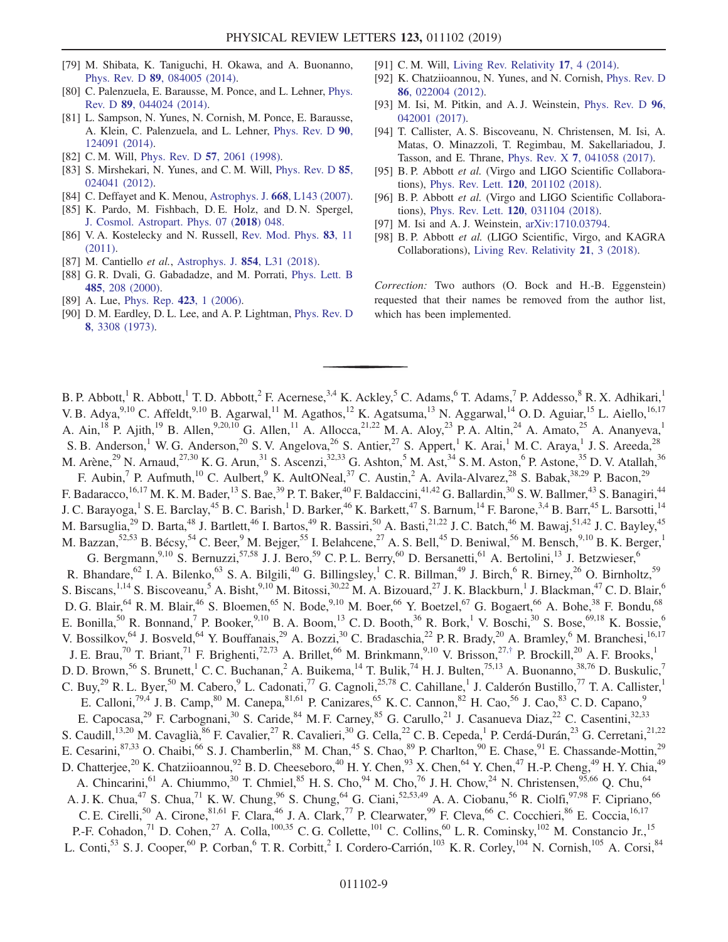- [79] M. Shibata, K. Taniguchi, H. Okawa, and A. Buonanno, Phys. Rev. D 89[, 084005 \(2014\)](https://doi.org/10.1103/PhysRevD.89.084005).
- [80] C. Palenzuela, E. Barausse, M. Ponce, and L. Lehner, [Phys.](https://doi.org/10.1103/PhysRevD.89.044024) Rev. D 89[, 044024 \(2014\)](https://doi.org/10.1103/PhysRevD.89.044024).
- [81] L. Sampson, N. Yunes, N. Cornish, M. Ponce, E. Barausse, A. Klein, C. Palenzuela, and L. Lehner, [Phys. Rev. D](https://doi.org/10.1103/PhysRevD.90.124091) 90, [124091 \(2014\).](https://doi.org/10.1103/PhysRevD.90.124091)
- <span id="page-10-0"></span>[82] C. M. Will, Phys. Rev. D **57**[, 2061 \(1998\).](https://doi.org/10.1103/PhysRevD.57.2061)
- <span id="page-10-2"></span>[83] S. Mirshekari, N. Yunes, and C. M. Will, [Phys. Rev. D](https://doi.org/10.1103/PhysRevD.85.024041) 85, [024041 \(2012\).](https://doi.org/10.1103/PhysRevD.85.024041)
- <span id="page-10-1"></span>[84] C. Deffayet and K. Menou, Astrophys. J. 668[, L143 \(2007\).](https://doi.org/10.1086/522931)
- <span id="page-10-5"></span>[85] K. Pardo, M. Fishbach, D. E. Holz, and D. N. Spergel, [J. Cosmol. Astropart. Phys. 07 \(](https://doi.org/10.1088/1475-7516/2018/07/048)2018) 048.
- <span id="page-10-3"></span>[86] V. A. Kostelecky and N. Russell, [Rev. Mod. Phys.](https://doi.org/10.1103/RevModPhys.83.11) 83, 11 [\(2011\).](https://doi.org/10.1103/RevModPhys.83.11)
- <span id="page-10-4"></span>[87] M. Cantiello et al., [Astrophys. J.](https://doi.org/10.3847/2041-8213/aaad64) 854, L31 (2018).
- <span id="page-10-6"></span>[88] G. R. Dvali, G. Gabadadze, and M. Porrati, [Phys. Lett. B](https://doi.org/10.1016/S0370-2693(00)00669-9) 485[, 208 \(2000\)](https://doi.org/10.1016/S0370-2693(00)00669-9).
- [89] A. Lue, [Phys. Rep.](https://doi.org/10.1016/j.physrep.2005.10.007) 423, 1 (2006).
- <span id="page-10-7"></span>[90] D. M. Eardley, D. L. Lee, and A. P. Lightman, [Phys. Rev. D](https://doi.org/10.1103/PhysRevD.8.3308) 8[, 3308 \(1973\).](https://doi.org/10.1103/PhysRevD.8.3308)
- [91] C. M. Will, [Living Rev. Relativity](https://doi.org/10.12942/lrr-2014-4) 17, 4 (2014).
- <span id="page-10-8"></span>[92] K. Chatziioannou, N. Yunes, and N. Cornish, [Phys. Rev. D](https://doi.org/10.1103/PhysRevD.86.022004) 86[, 022004 \(2012\).](https://doi.org/10.1103/PhysRevD.86.022004)
- [93] M. Isi, M. Pitkin, and A. J. Weinstein, [Phys. Rev. D](https://doi.org/10.1103/PhysRevD.96.042001) 96, [042001 \(2017\).](https://doi.org/10.1103/PhysRevD.96.042001)
- [94] T. Callister, A. S. Biscoveanu, N. Christensen, M. Isi, A. Matas, O. Minazzoli, T. Regimbau, M. Sakellariadou, J. Tasson, and E. Thrane, Phys. Rev. X 7[, 041058 \(2017\)](https://doi.org/10.1103/PhysRevX.7.041058).
- [95] B. P. Abbott et al. (Virgo and LIGO Scientific Collaborations), Phys. Rev. Lett. 120[, 201102 \(2018\).](https://doi.org/10.1103/PhysRevLett.120.201102)
- [96] B. P. Abbott et al. (Virgo and LIGO Scientific Collaborations), Phys. Rev. Lett. 120[, 031104 \(2018\).](https://doi.org/10.1103/PhysRevLett.120.031104)
- <span id="page-10-10"></span><span id="page-10-9"></span>[97] M. Isi and A. J. Weinstein, [arXiv:1710.03794](http://arXiv.org/abs/1710.03794).
- [98] B. P. Abbott et al. (LIGO Scientific, Virgo, and KAGRA Collaborations), [Living Rev. Relativity](https://doi.org/10.1007/s41114-018-0012-9) 21, 3 (2018).

Correction: Two authors (O. Bock and H.-B. Eggenstein) requested that their names be removed from the author list, which has been implemented.

<span id="page-10-11"></span>B. P. Abbott,<sup>1</sup> R. Abbott,<sup>1</sup> T. D. Abbott,<sup>2</sup> F. Acernese,<sup>3,4</sup> K. Ackley,<sup>5</sup> C. Adams,<sup>6</sup> T. Adams,<sup>7</sup> P. Addesso,<sup>8</sup> R. X. Adhikari,<sup>1</sup> V. B. Adya,  $9,10$  C. Affeldt,  $9,10$  B. Agarwal,  $^{11}$  M. Agathos,  $^{12}$  K. Agatsuma,  $^{13}$  N. Aggarwal,  $^{14}$  O. D. Aguiar,  $^{15}$  L. Aiello,  $^{16,17}$ A. Ain,<sup>18</sup> P. Ajith,<sup>19</sup> B. Allen,<sup>9,20,10</sup> G. Allen,<sup>11</sup> A. Allocca,<sup>21,22</sup> M. A. Aloy,<sup>23</sup> P. A. Altin,<sup>24</sup> A. Amato,<sup>25</sup> A. Ananyeva,<sup>1</sup> S. B. Anderson,<sup>1</sup> W. G. Anderson,<sup>20</sup> S. V. Angelova,<sup>26</sup> S. Antier,<sup>27</sup> S. Appert,<sup>1</sup> K. Arai,<sup>1</sup> M. C. Araya,<sup>1</sup> J. S. Areeda,<sup>28</sup> M. Arène,<sup>29</sup> N. Arnaud,<sup>27,30</sup> K. G. Arun,<sup>31</sup> S. Ascenzi,<sup>32,33</sup> G. Ashton,<sup>5</sup> M. Ast,<sup>34</sup> S. M. Aston,<sup>6</sup> P. Astone,<sup>35</sup> D. V. Atallah,<sup>36</sup> F. Aubin,<sup>7</sup> P. Aufmuth,<sup>10</sup> C. Aulbert,<sup>9</sup> K. AultONeal,<sup>37</sup> C. Austin,<sup>2</sup> A. Avila-Alvarez,<sup>28</sup> S. Babak,<sup>38,29</sup> P. Bacon,<sup>29</sup> F. Badaracco,<sup>16,17</sup> M. K. M. Bader,<sup>13</sup> S. Bae,<sup>39</sup> P. T. Baker,<sup>40</sup> F. Baldaccini,<sup>41,42</sup> G. Ballardin,<sup>30</sup> S. W. Ballmer,<sup>43</sup> S. Banagiri,<sup>44</sup> J. C. Barayoga,<sup>1</sup> S. E. Barclay,<sup>45</sup> B. C. Barish,<sup>1</sup> D. Barker,<sup>46</sup> K. Barkett,<sup>47</sup> S. Barnum,<sup>14</sup> F. Barone,<sup>3,4</sup> B. Barr,<sup>45</sup> L. Barsotti,<sup>14</sup> M. Barsuglia,<sup>29</sup> D. Barta,<sup>48</sup> J. Bartlett,<sup>46</sup> I. Bartos,<sup>49</sup> R. Bassiri,<sup>50</sup> A. Basti,<sup>21,22</sup> J. C. Batch,<sup>46</sup> M. Bawaj,<sup>51,42</sup> J. C. Bayley,<sup>45</sup> M. Bazzan,<sup>52,53</sup> B. Bécsy,<sup>54</sup> C. Beer,<sup>9</sup> M. Bejger,<sup>55</sup> I. Belahcene,<sup>27</sup> A. S. Bell,<sup>45</sup> D. Beniwal,<sup>56</sup> M. Bensch,<sup>9,10</sup> B. K. Berger,<sup>1</sup> G. Bergmann,<sup>9,10</sup> S. Bernuzzi,<sup>57,58</sup> J. J. Bero,<sup>59</sup> C. P. L. Berry,<sup>60</sup> D. Bersanetti,<sup>61</sup> A. Bertolini,<sup>13</sup> J. Betzwieser,<sup>6</sup> R. Bhandare,<sup>62</sup> I. A. Bilenko,<sup>63</sup> S. A. Bilgili,<sup>40</sup> G. Billingsley,<sup>1</sup> C. R. Billman,<sup>49</sup> J. Birch,<sup>6</sup> R. Birney,<sup>26</sup> O. Birnholtz,<sup>59</sup> S. Biscans,<sup>1,14</sup> S. Biscoveanu,<sup>5</sup> A. Bisht,<sup>9,10</sup> M. Bitossi,<sup>30,22</sup> M. A. Bizouard,<sup>27</sup> J. K. Blackburn,<sup>1</sup> J. Blackman,<sup>47</sup> C. D. Blair,<sup>6</sup> D. G. Blair, <sup>64</sup> R. M. Blair, <sup>46</sup> S. Bloemen, <sup>65</sup> N. Bode, <sup>9,10</sup> M. Boer, <sup>66</sup> Y. Boetzel, <sup>67</sup> G. Bogaert, <sup>66</sup> A. Bohe, <sup>38</sup> F. Bondu, <sup>68</sup> E. Bonilla,<sup>50</sup> R. Bonnand,<sup>7</sup> P. Booker,<sup>9,10</sup> B. A. Boom,<sup>13</sup> C. D. Booth,<sup>36</sup> R. Bork,<sup>1</sup> V. Boschi,<sup>30</sup> S. Bose,<sup>69,18</sup> K. Bossie,<sup>6</sup> V. Bossilkov, <sup>64</sup> J. Bosveld, <sup>64</sup> Y. Bouffanais, <sup>29</sup> A. Bozzi, <sup>30</sup> C. Bradaschia, <sup>22</sup> P. R. Brady, <sup>20</sup> A. Bramley, <sup>6</sup> M. Branchesi, <sup>16,17</sup> J. E. Brau,<sup>70</sup> T. Briant,<sup>71</sup> F. Brighenti,<sup>72,73</sup> A. Brillet,<sup>66</sup> M. Brinkmann,<sup>9,10</sup> V. Brisson,<sup>27,[†](#page-16-0)</sup> P. Brockill,<sup>20</sup> A. F. Brooks,<sup>1</sup> D. D. Brown,<sup>56</sup> S. Brunett,<sup>1</sup> C. C. Buchanan,<sup>2</sup> A. Buikema,<sup>14</sup> T. Bulik,<sup>74</sup> H. J. Bulten,<sup>75,13</sup> A. Buonanno,<sup>38,76</sup> D. Buskulic,<sup>7</sup> C. Buy,<sup>29</sup> R. L. Byer,<sup>50</sup> M. Cabero,<sup>9</sup> L. Cadonati,<sup>77</sup> G. Cagnoli,<sup>25,78</sup> C. Cahillane,<sup>1</sup> J. Calderón Bustillo,<sup>77</sup> T. A. Callister,<sup>1</sup> E. Calloni,<sup>79,4</sup> J. B. Camp,<sup>80</sup> M. Canepa,<sup>81,61</sup> P. Canizares,<sup>65</sup> K. C. Cannon,<sup>82</sup> H. Cao,<sup>56</sup> J. Cao,<sup>83</sup> C. D. Capano,<sup>9</sup> E. Capocasa,<sup>29</sup> F. Carbognani,<sup>30</sup> S. Caride,<sup>84</sup> M. F. Carney,<sup>85</sup> G. Carullo,<sup>21</sup> J. Casanueva Diaz,<sup>22</sup> C. Casentini,<sup>32,33</sup> S. Caudill,<sup>13,20</sup> M. Cavaglià,<sup>86</sup> F. Cavalier,<sup>27</sup> R. Cavalieri,<sup>30</sup> G. Cella,<sup>22</sup> C. B. Cepeda,<sup>1</sup> P. Cerdá-Durán,<sup>23</sup> G. Cerretani,<sup>21,22</sup> E. Cesarini,  $87,33$  O. Chaibi,  $66$  S. J. Chamberlin,  $88$  M. Chan,  $45$  S. Chao,  $89$  P. Charlton,  $90$  E. Chase,  $91$  E. Chassande-Mottin,  $29$ D. Chatterjee,<sup>20</sup> K. Chatziioannou,<sup>92</sup> B. D. Cheeseboro,<sup>40</sup> H. Y. Chen,<sup>93</sup> X. Chen,<sup>64</sup> Y. Chen,<sup>47</sup> H.-P. Cheng,<sup>49</sup> H. Y. Chia,<sup>49</sup> A. Chincarini, <sup>61</sup> A. Chiummo, <sup>30</sup> T. Chmiel, <sup>85</sup> H. S. Cho, <sup>94</sup> M. Cho, <sup>76</sup> J. H. Chow, <sup>24</sup> N. Christensen, <sup>95,66</sup> Q. Chu, <sup>64</sup> A. J. K. Chua,<sup>47</sup> S. Chua,<sup>71</sup> K. W. Chung,<sup>96</sup> S. Chung,<sup>64</sup> G. Ciani,<sup>52,53,49</sup> A. A. Ciobanu,<sup>56</sup> R. Ciolfi,<sup>97,98</sup> F. Cipriano,<sup>66</sup> C. E. Cirelli,<sup>50</sup> A. Cirone,<sup>81,61</sup> F. Clara,<sup>46</sup> J. A. Clark,<sup>77</sup> P. Clearwater,<sup>99</sup> F. Cleva,<sup>66</sup> C. Cocchieri,<sup>86</sup> E. Coccia,<sup>16,17</sup> P.-F. Cohadon,<sup>71</sup> D. Cohen,<sup>27</sup> A. Colla,<sup>100,35</sup> C. G. Collette,<sup>101</sup> C. Collins,<sup>60</sup> L. R. Cominsky,<sup>102</sup> M. Constancio Jr.,<sup>15</sup> L. Conti,<sup>53</sup> S. J. Cooper,<sup>60</sup> P. Corban,<sup>6</sup> T. R. Corbitt,<sup>2</sup> I. Cordero-Carrión,<sup>103</sup> K. R. Corley,<sup>104</sup> N. Cornish,<sup>105</sup> A. Corsi,<sup>84</sup>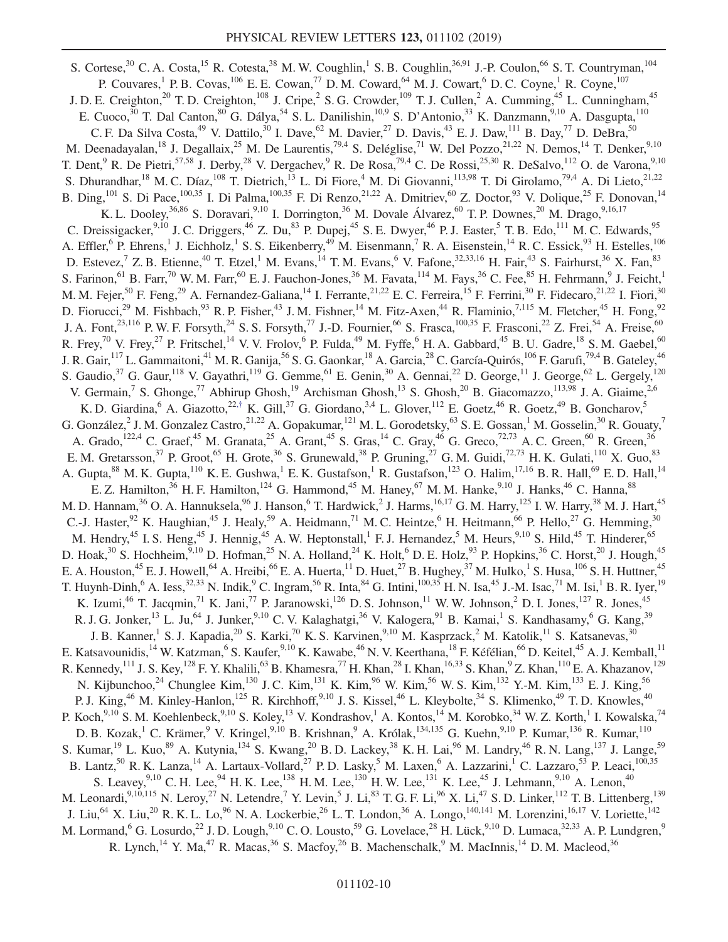S. Cortese,<sup>30</sup> C. A. Costa,<sup>15</sup> R. Cotesta,<sup>38</sup> M. W. Coughlin,<sup>1</sup> S. B. Coughlin,<sup>36,91</sup> J.-P. Coulon,<sup>66</sup> S. T. Countryman,<sup>104</sup> P. Couvares,<sup>1</sup> P. B. Covas,<sup>106</sup> E. E. Cowan,<sup>77</sup> D. M. Coward,<sup>64</sup> M. J. Cowart,<sup>6</sup> D. C. Coyne,<sup>1</sup> R. Coyne,<sup>107</sup> J. D. E. Creighton,<sup>20</sup> T. D. Creighton,<sup>108</sup> J. Cripe,<sup>2</sup> S. G. Crowder,<sup>109</sup> T. J. Cullen,<sup>2</sup> A. Cumming,<sup>45</sup> L. Cunningham,<sup>45</sup> E. Cuoco,<sup>30</sup> T. Dal Canton,<sup>80</sup> G. Dálya,<sup>54</sup> S. L. Danilishin,<sup>10,9</sup> S. D'Antonio,<sup>33</sup> K. Danzmann,<sup>9,10</sup> A. Dasgupta,<sup>110</sup> C. F. Da Silva Costa,<sup>49</sup> V. Dattilo,<sup>30</sup> I. Dave,<sup>62</sup> M. Davier,<sup>27</sup> D. Davis,<sup>43</sup> E. J. Daw,<sup>111</sup> B. Day,<sup>77</sup> D. DeBra,<sup>50</sup> M. Deenadayalan,<sup>18</sup> J. Degallaix,<sup>25</sup> M. De Laurentis,<sup>79,4</sup> S. Deléglise,<sup>71</sup> W. Del Pozzo,<sup>21,22</sup> N. Demos,<sup>14</sup> T. Denker,<sup>9,10</sup> T. Dent, <sup>9</sup> R. De Pietri,<sup>57,58</sup> J. Derby,<sup>28</sup> V. Dergachev, <sup>9</sup> R. De Rosa, <sup>79,4</sup> C. De Rossi, <sup>25,30</sup> R. DeSalvo, <sup>112</sup> O. de Varona, <sup>9,10</sup> S. Dhurandhar, <sup>18</sup> M. C. Díaz, <sup>108</sup> T. Dietrich, <sup>13</sup> L. Di Fiore, <sup>4</sup> M. Di Giovanni, <sup>113,98</sup> T. Di Girolamo, <sup>79,4</sup> A. Di Lieto, <sup>21,22</sup> B. Ding,  $^{101}$  S. Di Pace,  $^{100,35}$  I. Di Palma,  $^{100,35}$  F. Di Renzo,  $^{21,22}$  A. Dmitriev,  $^{60}$  Z. Doctor,  $^{93}$  V. Dolique,  $^{25}$  F. Donovan,  $^{14}$ K. L. Dooley, <sup>36,86</sup> S. Doravari, <sup>9,10</sup> I. Dorrington, <sup>36</sup> M. Dovale Álvarez, <sup>60</sup> T. P. Downes, <sup>20</sup> M. Drago, <sup>9,16,17</sup> C. Dreissigacker,<sup>9,10</sup> J. C. Driggers,<sup>46</sup> Z. Du,<sup>83</sup> P. Dupej,<sup>45</sup> S. E. Dwyer,<sup>46</sup> P. J. Easter,<sup>5</sup> T. B. Edo,<sup>111</sup> M. C. Edwards,<sup>95</sup> A. Effler, <sup>6</sup> P. Ehrens, <sup>1</sup> J. Eichholz, <sup>1</sup> S. S. Eikenberry, <sup>49</sup> M. Eisenmann, <sup>7</sup> R. A. Eisenstein, <sup>14</sup> R. C. Essick, <sup>93</sup> H. Estelles, <sup>106</sup> D. Estevez, Z. B. Etienne, <sup>40</sup> T. Etzel,<sup>1</sup> M. Evans, <sup>14</sup> T. M. Evans, <sup>6</sup> V. Fafone, <sup>32,33,16</sup> H. Fair, <sup>43</sup> S. Fairhurst, <sup>36</sup> X. Fan, <sup>83</sup> S. Farinon,  $^{61}$  B. Farr,  $^{70}$  W. M. Farr,  $^{60}$  E. J. Fauchon-Jones,  $^{36}$  M. Favata,  $^{114}$  M. Fays,  $^{36}$  C. Fee,  $^{85}$  H. Fehrmann,  $^{9}$  J. Feicht,  $^{1}$ M. M. Fejer,<sup>50</sup> F. Feng,<sup>29</sup> A. Fernandez-Galiana,<sup>14</sup> I. Ferrante,<sup>21,22</sup> E. C. Ferreira,<sup>15</sup> F. Ferrini,<sup>30</sup> F. Fidecaro,<sup>21,22</sup> I. Fiori,<sup>30</sup> D. Fiorucci,<sup>29</sup> M. Fishbach,<sup>93</sup> R. P. Fisher,<sup>43</sup> J. M. Fishner,<sup>14</sup> M. Fitz-Axen,<sup>44</sup> R. Flaminio,<sup>7,115</sup> M. Fletcher,<sup>45</sup> H. Fong,<sup>92</sup> J. A. Font,<sup>23,116</sup> P. W. F. Forsyth,<sup>24</sup> S. S. Forsyth,<sup>77</sup> J.-D. Fournier,<sup>66</sup> S. Frasca,<sup>100,35</sup> F. Frasconi,<sup>22</sup> Z. Frei,<sup>54</sup> A. Freise,<sup>60</sup> R. Frey,<sup>70</sup> V. Frey,<sup>27</sup> P. Fritschel,<sup>14</sup> V. V. Frolov,<sup>6</sup> P. Fulda,<sup>49</sup> M. Fyffe,<sup>6</sup> H. A. Gabbard,<sup>45</sup> B. U. Gadre,<sup>18</sup> S. M. Gaebel,<sup>60</sup> J. R. Gair, <sup>117</sup> L. Gammaitoni, <sup>41</sup> M. R. Ganija, <sup>56</sup> S. G. Gaonkar, <sup>18</sup> A. García, <sup>28</sup> C. García-Quirós, <sup>106</sup> F. Garufi, <sup>79,4</sup> B. Gateley, <sup>46</sup> S. Gaudio,<sup>37</sup> G. Gaur,<sup>118</sup> V. Gayathri,<sup>119</sup> G. Gemme,<sup>61</sup> E. Genin,<sup>30</sup> A. Gennai,<sup>22</sup> D. George,<sup>11</sup> J. George,<sup>62</sup> L. Gergely,<sup>120</sup> V. Germain,<sup>7</sup> S. Ghonge,<sup>77</sup> Abhirup Ghosh,<sup>19</sup> Archisman Ghosh,<sup>13</sup> S. Ghosh,<sup>20</sup> B. Giacomazzo,<sup>113,98</sup> J. A. Giaime,<sup>2,6</sup> K. D. Giardina, <sup>6</sup> A. Giazotto,  $22.7 \text{ K}$ . Gill,  $37 \text{ G}$ . Giordano,  $3.4 \text{ L}$ . Glover,  $112 \text{ E}$ . Goetz,  $46 \text{ R}$ . Goetz,  $49 \text{ B}$ . Goncharov,  $5 \text{ A}$ G. González, <sup>2</sup> J. M. Gonzalez Castro,  $2^{1,22}$  A. Gopakumar,  $121$  M. L. Gorodetsky,  $63$  S. E. Gossan,  $1$  M. Gosselin,  $30$  R. Gouaty,  $7$ A. Grado,<sup>122,4</sup> C. Graef,<sup>45</sup> M. Granata,<sup>25</sup> A. Grant,<sup>45</sup> S. Gras,<sup>14</sup> C. Gray,<sup>46</sup> G. Greco,<sup>72,73</sup> A. C. Green,<sup>60</sup> R. Green,<sup>36</sup> E. M. Gretarsson,<sup>37</sup> P. Groot,<sup>65</sup> H. Grote,<sup>36</sup> S. Grunewald,<sup>38</sup> P. Gruning,<sup>27</sup> G. M. Guidi,<sup>72,73</sup> H. K. Gulati,<sup>110</sup> X. Guo,<sup>83</sup> A. Gupta, <sup>88</sup> M. K. Gupta, <sup>110</sup> K. E. Gushwa, <sup>1</sup> E. K. Gustafson, <sup>1</sup> R. Gustafson, <sup>123</sup> O. Halim, <sup>17,16</sup> B. R. Hall, <sup>69</sup> E. D. Hall, <sup>14</sup> E. Z. Hamilton,<sup>36</sup> H. F. Hamilton,<sup>124</sup> G. Hammond,<sup>45</sup> M. Haney,<sup>67</sup> M. M. Hanke,<sup>9,10</sup> J. Hanks,<sup>46</sup> C. Hanna,<sup>88</sup> M. D. Hannam,<sup>36</sup> O. A. Hannuksela,<sup>96</sup> J. Hanson,<sup>6</sup> T. Hardwick,<sup>2</sup> J. Harms,<sup>16,17</sup> G. M. Harry,<sup>125</sup> I. W. Harry,<sup>38</sup> M. J. Hart,<sup>45</sup> C.-J. Haster,<sup>92</sup> K. Haughian,<sup>45</sup> J. Healy,<sup>59</sup> A. Heidmann,<sup>71</sup> M. C. Heintze,<sup>6</sup> H. Heitmann,<sup>66</sup> P. Hello,<sup>27</sup> G. Hemming,<sup>30</sup> M. Hendry,<sup>45</sup> I. S. Heng,<sup>45</sup> J. Hennig,<sup>45</sup> A. W. Heptonstall,<sup>1</sup> F. J. Hernandez,<sup>5</sup> M. Heurs,<sup>9,10</sup> S. Hild,<sup>45</sup> T. Hinderer,<sup>65</sup> D. Hoak,  $30$  S. Hochheim,  $9,10$  D. Hofman,  $25$  N. A. Holland,  $24$  K. Holt,  $6$  D. E. Holz,  $93$  P. Hopkins,  $36$  C. Horst,  $20$  J. Hough,  $45$ E. A. Houston,<sup>45</sup> E. J. Howell,<sup>64</sup> A. Hreibi,<sup>66</sup> E. A. Huerta,<sup>11</sup> D. Huet,<sup>27</sup> B. Hughey,<sup>37</sup> M. Hulko,<sup>1</sup> S. Husa,<sup>106</sup> S. H. Huttner,<sup>45</sup> T. Huynh-Dinh,<sup>6</sup> A. Iess,<sup>32,33</sup> N. Indik,<sup>9</sup> C. Ingram,<sup>56</sup> R. Inta,<sup>84</sup> G. Intini,<sup>100,35</sup> H. N. Isa,<sup>45</sup> J.-M. Isac,<sup>71</sup> M. Isi,<sup>1</sup> B. R. Iyer,<sup>19</sup> K. Izumi,<sup>46</sup> T. Jacqmin,<sup>71</sup> K. Jani,<sup>77</sup> P. Jaranowski,<sup>126</sup> D. S. Johnson,<sup>11</sup> W. W. Johnson,<sup>2</sup> D. I. Jones,<sup>127</sup> R. Jones,<sup>45</sup> R. J. G. Jonker,<sup>13</sup> L. Ju,<sup>64</sup> J. Junker,<sup>9,10</sup> C. V. Kalaghatgi,<sup>36</sup> V. Kalogera,<sup>91</sup> B. Kamai,<sup>1</sup> S. Kandhasamy,<sup>6</sup> G. Kang,<sup>39</sup> J. B. Kanner,<sup>1</sup> S. J. Kapadia,<sup>20</sup> S. Karki,<sup>70</sup> K. S. Karvinen,<sup>9,10</sup> M. Kasprzack,<sup>2</sup> M. Katolik,<sup>11</sup> S. Katsanevas,<sup>30</sup> E. Katsavounidis,<sup>14</sup> W. Katzman,<sup>6</sup> S. Kaufer,<sup>9,10</sup> K. Kawabe,<sup>46</sup> N. V. Keerthana,<sup>18</sup> F. Kéfélian,<sup>66</sup> D. Keitel,<sup>45</sup> A. J. Kemball,<sup>11</sup> R. Kennedy,<sup>111</sup> J. S. Key,<sup>128</sup> F. Y. Khalili,<sup>63</sup> B. Khamesra,<sup>77</sup> H. Khan,<sup>28</sup> I. Khan,<sup>16,33</sup> S. Khan,<sup>9</sup> Z. Khan,<sup>110</sup> E. A. Khazanov,<sup>129</sup> N. Kijbunchoo,<sup>24</sup> Chunglee Kim,<sup>130</sup> J. C. Kim,<sup>131</sup> K. Kim,<sup>96</sup> W. Kim,<sup>56</sup> W. S. Kim,<sup>132</sup> Y.-M. Kim,<sup>133</sup> E. J. King,<sup>56</sup> P. J. King,<sup>46</sup> M. Kinley-Hanlon,<sup>125</sup> R. Kirchhoff,<sup>9,10</sup> J. S. Kissel,<sup>46</sup> L. Kleybolte,<sup>34</sup> S. Klimenko,<sup>49</sup> T. D. Knowles,<sup>40</sup> P. Koch,<sup>9,10</sup> S. M. Koehlenbeck,<sup>9,10</sup> S. Koley,<sup>13</sup> V. Kondrashov,<sup>1</sup> A. Kontos,<sup>14</sup> M. Korobko,<sup>34</sup> W. Z. Korth,<sup>1</sup> I. Kowalska,<sup>74</sup> D. B. Kozak,<sup>1</sup> C. Krämer,<sup>9</sup> V. Kringel,<sup>9,10</sup> B. Krishnan,<sup>9</sup> A. Królak,<sup>134,135</sup> G. Kuehn,<sup>9,10</sup> P. Kumar,<sup>136</sup> R. Kumar,<sup>110</sup> S. Kumar,<sup>19</sup> L. Kuo,<sup>89</sup> A. Kutynia,<sup>134</sup> S. Kwang,<sup>20</sup> B. D. Lackey,<sup>38</sup> K. H. Lai,<sup>96</sup> M. Landry,<sup>46</sup> R. N. Lang,<sup>137</sup> J. Lange,<sup>59</sup> B. Lantz,<sup>50</sup> R. K. Lanza,<sup>14</sup> A. Lartaux-Vollard,<sup>27</sup> P. D. Lasky,<sup>5</sup> M. Laxen,<sup>6</sup> A. Lazzarini,<sup>1</sup> C. Lazzaro,<sup>53</sup> P. Leaci,<sup>100,35</sup> S. Leavey,  $9,10$  C. H. Lee,  $94$  H. K. Lee,  $138$  H. M. Lee,  $130$  H. W. Lee,  $131$  K. Lee,  $45$  J. Lehmann,  $9,10$  A. Lenon,  $40$ M. Leonardi,  $^{9,10,115}$  N. Leroy,  $^{27}$  N. Letendre,  $^7$  Y. Levin,  $^5$  J. Li,  $^{83}$  T. G. F. Li,  $^{96}$  X. Li,  $^{47}$  S. D. Linker,  $^{112}$  T. B. Littenberg,  $^{139}$ J. Liu,<sup>64</sup> X. Liu,<sup>20</sup> R. K. L. Lo,<sup>96</sup> N. A. Lockerbie,<sup>26</sup> L. T. London,<sup>36</sup> A. Longo,<sup>140,141</sup> M. Lorenzini,<sup>16,17</sup> V. Loriette,<sup>142</sup> M. Lormand, <sup>6</sup> G. Losurdo, <sup>22</sup> J. D. Lough, <sup>9,10</sup> C. O. Lousto, <sup>59</sup> G. Lovelace, <sup>28</sup> H. Lück, <sup>9,10</sup> D. Lumaca, <sup>32,33</sup> A. P. Lundgren, <sup>9</sup> R. Lynch,<sup>14</sup> Y. Ma,<sup>47</sup> R. Macas,<sup>36</sup> S. Macfoy,<sup>26</sup> B. Machenschalk,<sup>9</sup> M. MacInnis,<sup>14</sup> D. M. Macleod,<sup>36</sup>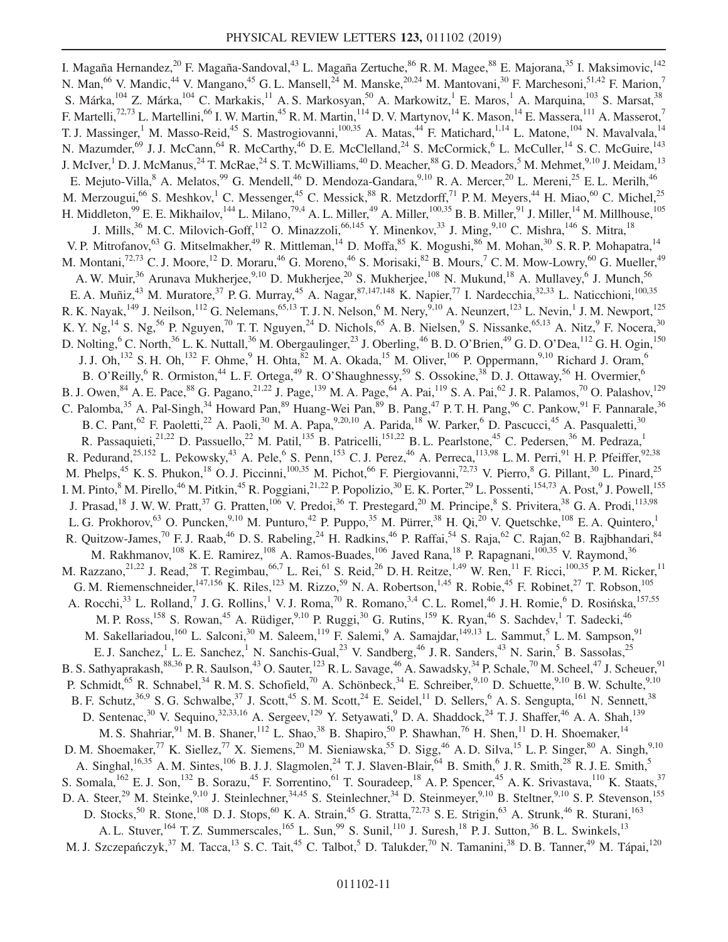I. Magaña Hernandez,<sup>20</sup> F. Magaña-Sandoval,<sup>43</sup> L. Magaña Zertuche,<sup>86</sup> R. M. Magee,<sup>88</sup> E. Majorana,<sup>35</sup> I. Maksimovic,<sup>142</sup> N. Man,<sup>66</sup> V. Mandic,<sup>44</sup> V. Mangano,<sup>45</sup> G. L. Mansell,<sup>24</sup> M. Manske,<sup>20,24</sup> M. Mantovani,<sup>30</sup> F. Marchesoni,<sup>51,42</sup> F. Marion,<sup>7</sup> S. Márka,<sup>104</sup> Z. Márka,<sup>104</sup> C. Markakis,<sup>11</sup> A. S. Markosyan,<sup>50</sup> A. Markowitz,<sup>1</sup> E. Maros,<sup>1</sup> A. Marquina,<sup>103</sup> S. Marsat,<sup>38</sup> F. Martelli,<sup>72,73</sup> L. Martellini,<sup>66</sup> I. W. Martin,<sup>45</sup> R. M. Martin,<sup>114</sup> D. V. Martynov,<sup>14</sup> K. Mason,<sup>14</sup> E. Massera,<sup>111</sup> A. Masserot,<sup>7</sup> T. J. Massinger,<sup>1</sup> M. Masso-Reid,<sup>45</sup> S. Mastrogiovanni,<sup>100,35</sup> A. Matas,<sup>44</sup> F. Matichard,<sup>1,14</sup> L. Matone,<sup>104</sup> N. Mavalvala,<sup>14</sup> N. Mazumder,<sup>69</sup> J. J. McCann,<sup>64</sup> R. McCarthy,<sup>46</sup> D. E. McClelland,<sup>24</sup> S. McCormick,<sup>6</sup> L. McCuller,<sup>14</sup> S. C. McGuire,<sup>143</sup> J. McIver,<sup>1</sup> D. J. McManus,<sup>24</sup> T. McRae,<sup>24</sup> S. T. McWilliams,<sup>40</sup> D. Meacher,<sup>88</sup> G. D. Meadors,<sup>5</sup> M. Mehmet,<sup>9,10</sup> J. Meidam,<sup>13</sup> E. Mejuto-Villa, <sup>8</sup> A. Melatos, <sup>99</sup> G. Mendell, <sup>46</sup> D. Mendoza-Gandara, <sup>9,10</sup> R. A. Mercer, <sup>20</sup> L. Mereni, <sup>25</sup> E. L. Merilh, <sup>46</sup> M. Merzougui,<sup>66</sup> S. Meshkov,<sup>1</sup> C. Messenger,<sup>45</sup> C. Messick,<sup>88</sup> R. Metzdorff,<sup>71</sup> P. M. Meyers,<sup>44</sup> H. Miao,<sup>60</sup> C. Michel,<sup>25</sup> H. Middleton,  $99$  E. E. Mikhailov,  $^{144}$  L. Milano,  $^{79,4}$  A. L. Miller,  $^{49}$  A. Miller,  $^{100,35}$  B. B. Miller,  $^{91}$  J. Miller,  $^{14}$  M. Millhouse,  $^{105}$ J. Mills,<sup>36</sup> M. C. Milovich-Goff,<sup>112</sup> O. Minazzoli,<sup>66,145</sup> Y. Minenkov,<sup>33</sup> J. Ming,<sup>9,10</sup> C. Mishra,<sup>146</sup> S. Mitra,<sup>18</sup> V. P. Mitrofanov, <sup>63</sup> G. Mitselmakher, <sup>49</sup> R. Mittleman, <sup>14</sup> D. Moffa, <sup>85</sup> K. Mogushi, <sup>86</sup> M. Mohan, <sup>30</sup> S. R. P. Mohapatra, <sup>14</sup> M. Montani,<sup>72,73</sup> C. J. Moore,<sup>12</sup> D. Moraru,<sup>46</sup> G. Moreno,<sup>46</sup> S. Morisaki,<sup>82</sup> B. Mours,<sup>7</sup> C. M. Mow-Lowry,<sup>60</sup> G. Mueller,<sup>49</sup> A. W. Muir,<sup>36</sup> Arunava Mukherjee,<sup>9,10</sup> D. Mukherjee,<sup>20</sup> S. Mukherjee,<sup>108</sup> N. Mukund,<sup>18</sup> A. Mullavey,<sup>6</sup> J. Munch,<sup>56</sup> E. A. Muñiz,<sup>43</sup> M. Muratore,<sup>37</sup> P. G. Murray,<sup>45</sup> A. Nagar,<sup>87,147,148</sup> K. Napier,<sup>77</sup> I. Nardecchia,<sup>32,33</sup> L. Naticchioni,<sup>100,35</sup> R. K. Nayak,<sup>149</sup> J. Neilson,<sup>112</sup> G. Nelemans,<sup>65,13</sup> T. J. N. Nelson,<sup>6</sup> M. Nery,<sup>9,10</sup> A. Neunzert,<sup>123</sup> L. Nevin,<sup>1</sup> J. M. Newport,<sup>125</sup> K. Y. Ng,<sup>14</sup> S. Ng,<sup>56</sup> P. Nguyen,<sup>70</sup> T. T. Nguyen,<sup>24</sup> D. Nichols,<sup>65</sup> A. B. Nielsen,<sup>9</sup> S. Nissanke,<sup>65,13</sup> A. Nitz,<sup>9</sup> F. Nocera,<sup>30</sup> D. Nolting,  $6$  C. North,  $36$  L. K. Nuttall,  $36$  M. Obergaulinger,  $23$  J. Oberling,  $46$  B. D. O'Brien,  $49$  G. D. O'Dea,  $112$  G. H. Ogin,  $150$ J. J. Oh,<sup>132</sup> S. H. Oh,<sup>132</sup> F. Ohme,<sup>9</sup> H. Ohta,<sup>82</sup> M. A. Okada,<sup>15</sup> M. Oliver,<sup>106</sup> P. Oppermann,<sup>9,10</sup> Richard J. Oram,<sup>6</sup> B. O'Reilly,<sup>6</sup> R. Ormiston,<sup>44</sup> L. F. Ortega,<sup>49</sup> R. O'Shaughnessy,<sup>59</sup> S. Ossokine,<sup>38</sup> D. J. Ottaway,<sup>56</sup> H. Overmier,<sup>6</sup> B. J. Owen, <sup>84</sup> A. E. Pace, <sup>88</sup> G. Pagano, <sup>21, 22</sup> J. Page, <sup>139</sup> M. A. Page, <sup>64</sup> A. Pai,<sup>119</sup> S. A. Pai,<sup>62</sup> J. R. Palamos, <sup>70</sup> O. Palashov,<sup>129</sup> C. Palomba,<sup>35</sup> A. Pal-Singh,<sup>34</sup> Howard Pan,<sup>89</sup> Huang-Wei Pan,<sup>89</sup> B. Pang,<sup>47</sup> P. T. H. Pang,<sup>96</sup> C. Pankow,<sup>91</sup> F. Pannarale,<sup>36</sup> B. C. Pant, <sup>62</sup> F. Paoletti, <sup>22</sup> A. Paoli, <sup>30</sup> M. A. Papa, <sup>9,20,10</sup> A. Parida, <sup>18</sup> W. Parker, <sup>6</sup> D. Pascucci, <sup>45</sup> A. Pasqualetti, <sup>30</sup> R. Passaquieti,<sup>21,22</sup> D. Passuello,<sup>22</sup> M. Patil,<sup>135</sup> B. Patricelli,<sup>151,22</sup> B. L. Pearlstone,<sup>45</sup> C. Pedersen,<sup>36</sup> M. Pedraza,<sup>1</sup> R. Pedurand,<sup>25,152</sup> L. Pekowsky,<sup>43</sup> A. Pele,<sup>6</sup> S. Penn,<sup>153</sup> C. J. Perez,<sup>46</sup> A. Perreca,<sup>113,98</sup> L. M. Perri,<sup>91</sup> H. P. Pfeiffer,<sup>92,38</sup> M. Phelps,<sup>45</sup> K. S. Phukon,<sup>18</sup> O. J. Piccinni,<sup>100,35</sup> M. Pichot,<sup>66</sup> F. Piergiovanni,<sup>72,73</sup> V. Pierro,<sup>8</sup> G. Pillant,<sup>30</sup> L. Pinard,<sup>25</sup> I. M. Pinto,<sup>8</sup> M. Pirello,<sup>46</sup> M. Pitkin,<sup>45</sup> R. Poggiani,<sup>21,22</sup> P. Popolizio,<sup>30</sup> E. K. Porter,<sup>29</sup> L. Possenti,<sup>154,73</sup> A. Post,<sup>9</sup> J. Powell,<sup>155</sup> J. Prasad,<sup>18</sup> J. W. W. Pratt,<sup>37</sup> G. Pratten,<sup>106</sup> V. Predoi,<sup>36</sup> T. Prestegard,<sup>20</sup> M. Principe,<sup>8</sup> S. Privitera,<sup>38</sup> G. A. Prodi,<sup>113,98</sup> L. G. Prokhorov,  $^{63}$  O. Puncken,  $^{9,10}$  M. Punturo,  $^{42}$  P. Puppo,  $^{35}$  M. Pürrer,  $^{38}$  H. Qi,  $^{20}$  V. Quetschke,  $^{108}$  E. A. Quintero,  $^{1}$ R. Quitzow-James,<sup>70</sup> F. J. Raab,<sup>46</sup> D. S. Rabeling,<sup>24</sup> H. Radkins,<sup>46</sup> P. Raffai,<sup>54</sup> S. Raja,<sup>62</sup> C. Rajan,<sup>62</sup> B. Rajbhandari,<sup>84</sup> M. Rakhmanov,<sup>108</sup> K. E. Ramirez,<sup>108</sup> A. Ramos-Buades,<sup>106</sup> Javed Rana,<sup>18</sup> P. Rapagnani,<sup>100,35</sup> V. Raymond,<sup>36</sup> M. Razzano,<sup>21,22</sup> J. Read,<sup>28</sup> T. Regimbau,<sup>66,7</sup> L. Rei,<sup>61</sup> S. Reid,<sup>26</sup> D. H. Reitze,<sup>1,49</sup> W. Ren,<sup>11</sup> F. Ricci,<sup>100,35</sup> P. M. Ricker,<sup>11</sup> G. M. Riemenschneider,  $147,156$  K. Riles,  $123$  M. Rizzo,  $59$  N. A. Robertson,  $1.45$  R. Robie,  $45$  F. Robinet,  $27$  T. Robson,  $105$ A. Rocchi,<sup>33</sup> L. Rolland,<sup>7</sup> J. G. Rollins,<sup>1</sup> V. J. Roma,<sup>70</sup> R. Romano,<sup>3,4</sup> C. L. Romel,<sup>46</sup> J. H. Romie,<sup>6</sup> D. Rosińska,<sup>157,55</sup> M. P. Ross,<sup>158</sup> S. Rowan,<sup>45</sup> A. Rüdiger,<sup>9,10</sup> P. Ruggi,<sup>30</sup> G. Rutins,<sup>159</sup> K. Ryan,<sup>46</sup> S. Sachdev,<sup>1</sup> T. Sadecki,<sup>46</sup> M. Sakellariadou,<sup>160</sup> L. Salconi,<sup>30</sup> M. Saleem,<sup>119</sup> F. Salemi,<sup>9</sup> A. Samajdar,<sup>149,13</sup> L. Sammut,<sup>5</sup> L. M. Sampson,<sup>91</sup> E. J. Sanchez,<sup>1</sup> L. E. Sanchez,<sup>1</sup> N. Sanchis-Gual,<sup>23</sup> V. Sandberg,<sup>46</sup> J. R. Sanders,<sup>43</sup> N. Sarin,<sup>5</sup> B. Sassolas,<sup>25</sup> B. S. Sathyaprakash,  $88,36$  P. R. Saulson,  $43$  O. Sauter,  $123$  R. L. Savage,  $46$  A. Sawadsky,  $34$  P. Schale,  $70$  M. Scheel,  $47$  J. Scheuer,  $91$ P. Schmidt,<sup>65</sup> R. Schnabel,<sup>34</sup> R. M. S. Schofield,<sup>70</sup> A. Schönbeck,<sup>34</sup> E. Schreiber,<sup>9,10</sup> D. Schuette,<sup>9,10</sup> B. W. Schulte,<sup>9,10</sup> B. F. Schutz,  $36,9$  S. G. Schwalbe,  $37$  J. Scott,  $45$  S. M. Scott,  $24$  E. Seidel,  $11$  D. Sellers,  $6$  A. S. Sengupta,  $161$  N. Sennett,  $38$ D. Sentenac,<sup>30</sup> V. Sequino,<sup>32,33,16</sup> A. Sergeev,<sup>129</sup> Y. Setyawati,<sup>9</sup> D. A. Shaddock,<sup>24</sup> T. J. Shaffer,<sup>46</sup> A. A. Shah,<sup>139</sup> M. S. Shahriar, <sup>91</sup> M. B. Shaner, <sup>112</sup> L. Shao, <sup>38</sup> B. Shapiro, <sup>50</sup> P. Shawhan, <sup>76</sup> H. Shen, <sup>11</sup> D. H. Shoemaker, <sup>14</sup> D. M. Shoemaker,<sup>77</sup> K. Siellez,<sup>77</sup> X. Siemens,<sup>20</sup> M. Sieniawska,<sup>55</sup> D. Sigg,<sup>46</sup> A. D. Silva,<sup>15</sup> L. P. Singer,<sup>80</sup> A. Singh,<sup>9,10</sup> A. Singhal,<sup>16,35</sup> A. M. Sintes,<sup>106</sup> B. J. J. Slagmolen,<sup>24</sup> T. J. Slaven-Blair,<sup>64</sup> B. Smith,<sup>6</sup> J. R. Smith,<sup>28</sup> R. J. E. Smith,<sup>5</sup> S. Somala,<sup>162</sup> E. J. Son,<sup>132</sup> B. Sorazu,<sup>45</sup> F. Sorrentino,<sup>61</sup> T. Souradeep,<sup>18</sup> A. P. Spencer,<sup>45</sup> A. K. Srivastava,<sup>110</sup> K. Staats,<sup>37</sup> D. A. Steer,<sup>29</sup> M. Steinke,<sup>9,10</sup> J. Steinlechner,<sup>34,45</sup> S. Steinlechner,<sup>34</sup> D. Steinmeyer,<sup>9,10</sup> B. Steltner,<sup>9,10</sup> S. P. Stevenson,<sup>155</sup> D. Stocks,<sup>50</sup> R. Stone,<sup>108</sup> D. J. Stops,<sup>60</sup> K. A. Strain,<sup>45</sup> G. Stratta,<sup>72,73</sup> S. E. Strigin,<sup>63</sup> A. Strunk,<sup>46</sup> R. Sturani,<sup>163</sup> A. L. Stuver, <sup>164</sup> T. Z. Summerscales, <sup>165</sup> L. Sun, <sup>99</sup> S. Sunil, <sup>110</sup> J. Suresh, <sup>18</sup> P. J. Sutton, <sup>36</sup> B. L. Swinkels, <sup>13</sup> M. J. Szczepańczyk,<sup>37</sup> M. Tacca,<sup>13</sup> S. C. Tait,<sup>45</sup> C. Talbot,<sup>5</sup> D. Talukder,<sup>70</sup> N. Tamanini,<sup>38</sup> D. B. Tanner,<sup>49</sup> M. Tápai,<sup>120</sup>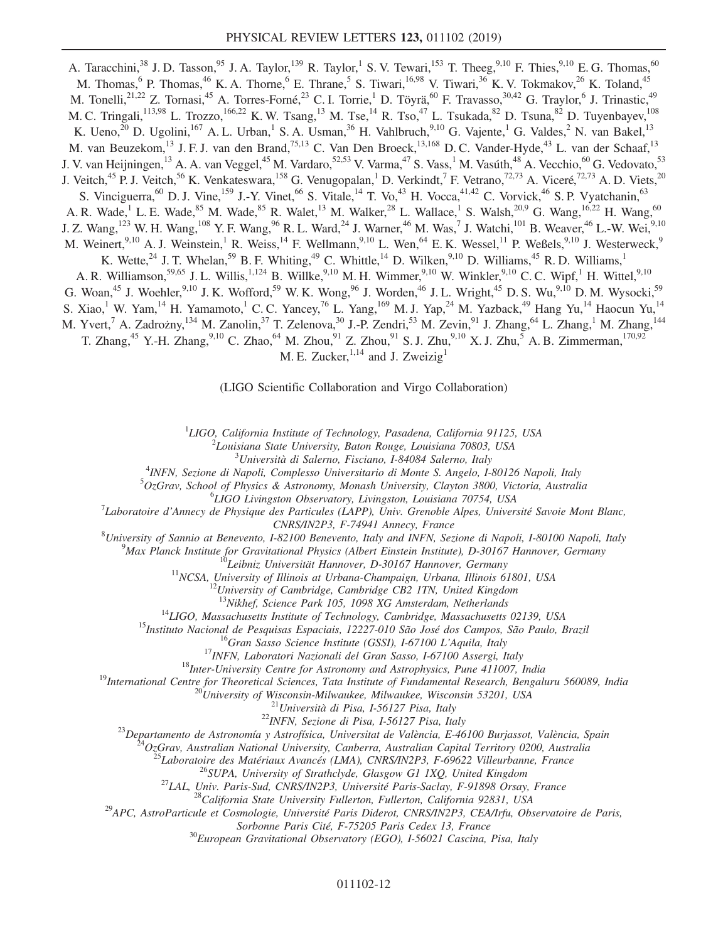A. Taracchini,<sup>38</sup> J. D. Tasson,<sup>95</sup> J. A. Taylor,<sup>139</sup> R. Taylor,<sup>1</sup> S. V. Tewari,<sup>153</sup> T. Theeg,<sup>9,10</sup> F. Thies,<sup>9,10</sup> E. G. Thomas,<sup>60</sup> M. Thomas,<sup>6</sup> P. Thomas,<sup>46</sup> K. A. Thorne,<sup>6</sup> E. Thrane,<sup>5</sup> S. Tiwari,<sup>16,98</sup> V. Tiwari,<sup>36</sup> K. V. Tokmakov,<sup>26</sup> K. Toland,<sup>45</sup> M. Tonelli,  $2^{1,22}$  Z. Tornasi,  $4^5$  A. Torres-Forné,  $2^3$  C. I. Torrie,  $^1$  D. Töyrä,  $^{60}$  F. Travasso,  $30,42$  G. Traylor,  $^6$  J. Trinastic,  $4^9$ M. C. Tringali,<sup>113,98</sup> L. Trozzo,<sup>166,22</sup> K. W. Tsang,<sup>13</sup> M. Tse,<sup>14</sup> R. Tso,<sup>47</sup> L. Tsukada,<sup>82</sup> D. Tsuna,<sup>82</sup> D. Tuyenbayev,<sup>108</sup> K. Ueno,<sup>20</sup> D. Ugolini,<sup>167</sup> A. L. Urban,<sup>1</sup> S. A. Usman,<sup>36</sup> H. Vahlbruch,<sup>9,10</sup> G. Vajente,<sup>1</sup> G. Valdes,<sup>2</sup> N. van Bakel,<sup>13</sup> M. van Beuzekom,<sup>13</sup> J. F. J. van den Brand,<sup>75,13</sup> C. Van Den Broeck,<sup>13,168</sup> D. C. Vander-Hyde,<sup>43</sup> L. van der Schaaf,<sup>13</sup> J. V. van Heijningen,<sup>13</sup> A. A. van Veggel,<sup>45</sup> M. Vardaro,<sup>52,53</sup> V. Varma,<sup>47</sup> S. Vass,<sup>1</sup> M. Vasúth,<sup>48</sup> A. Vecchio,<sup>60</sup> G. Vedovato,<sup>53</sup> J. Veitch,<sup>45</sup> P. J. Veitch,<sup>56</sup> K. Venkateswara,<sup>158</sup> G. Venugopalan,<sup>1</sup> D. Verkindt,<sup>7</sup> F. Vetrano,<sup>72,73</sup> A. Viceré,<sup>72,73</sup> A. D. Viets,<sup>20</sup> S. Vinciguerra, <sup>60</sup> D. J. Vine, <sup>159</sup> J.-Y. Vinet, <sup>66</sup> S. Vitale, <sup>14</sup> T. Vo, <sup>43</sup> H. Vocca, <sup>41, 42</sup> C. Vorvick, <sup>46</sup> S. P. Vyatchanin, <sup>63</sup> A. R. Wade,<sup>1</sup> L. E. Wade,<sup>85</sup> M. Wade,<sup>85</sup> R. Walet,<sup>13</sup> M. Walker,<sup>28</sup> L. Wallace,<sup>1</sup> S. Walsh,<sup>20,9</sup> G. Wang,<sup>16,22</sup> H. Wang,<sup>60</sup> J. Z. Wang,<sup>123</sup> W. H. Wang,<sup>108</sup> Y. F. Wang,<sup>96</sup> R. L. Ward,<sup>24</sup> J. Warner,<sup>46</sup> M. Was,<sup>7</sup> J. Watchi,<sup>101</sup> B. Weaver,<sup>46</sup> L.-W. Wei,<sup>9,10</sup> M. Weinert,  $9,10$  A. J. Weinstein, <sup>1</sup> R. Weiss,  $14$  F. Wellmann,  $9,10$  L. Wen,  $64$  E. K. Wessel,  $11$  P. Weßels,  $9,10$  J. Westerweck,  $9$ K. Wette,  $^{24}$  J. T. Whelan,  $^{59}$  B. F. Whiting,  $^{49}$  C. Whittle,  $^{14}$  D. Wilken,  $^{9,10}$  D. Williams,  $^{45}$  R. D. Williams,  $^{14}$ A. R. Williamson,<sup>59,65</sup> J. L. Willis,<sup>1,124</sup> B. Willke,<sup>9,10</sup> M. H. Wimmer,<sup>9,10</sup> W. Winkler,<sup>9,10</sup> C. C. Wipf,<sup>1</sup> H. Wittel,<sup>9,10</sup> G. Woan,<sup>45</sup> J. Woehler,<sup>9,10</sup> J. K. Wofford,<sup>59</sup> W. K. Wong,<sup>96</sup> J. Worden,<sup>46</sup> J. L. Wright,<sup>45</sup> D. S. Wu,<sup>9,10</sup> D. M. Wysocki,<sup>59</sup> S. Xiao,<sup>1</sup> W. Yam,<sup>14</sup> H. Yamamoto,<sup>1</sup> C. C. Yancey,<sup>76</sup> L. Yang,<sup>169</sup> M. J. Yap,<sup>24</sup> M. Yazback,<sup>49</sup> Hang Yu,<sup>14</sup> Haocun Yu,<sup>14</sup> M. Yvert,<sup>7</sup> A. Zadrożny,<sup>134</sup> M. Zanolin,<sup>37</sup> T. Zelenova,<sup>30</sup> J.-P. Zendri,<sup>53</sup> M. Zevin,<sup>91</sup> J. Zhang,<sup>64</sup> L. Zhang,<sup>1</sup> M. Zhang,<sup>144</sup> T. Zhang,<sup>45</sup> Y.-H. Zhang,<sup>9,10</sup> C. Zhao,<sup>64</sup> M. Zhou,<sup>91</sup> Z. Zhou,<sup>91</sup> S. J. Zhu,<sup>9,10</sup> X. J. Zhu,<sup>5</sup> A. B. Zimmerman,<sup>170,92</sup> M. E. Zucker,  $^{1,14}$  and J. Zweizig<sup>1</sup>

(LIGO Scientific Collaboration and Virgo Collaboration)

<sup>1</sup>LIGO, California Institute of Technology, Pasadena, California 91125, USA<br> $\frac{2}{5}I$  quisique State University, Pator Pouge, Louisique 70803, USA

 $^2$ Louisiana State University, Baton Rouge, Louisiana 70803, USA<br> $^3$ Università di Salerno, Fisciano, I-84084 Salerno, Italy

 $^{3}$ Università di Salerno, Fisciano, I-84084 Salerno, Italy  $^{4}$ INEN, Sezione di Napoli, Complesso Universitario di Monte S. Angele, I.

<sup>4</sup>INFN, Sezione di Napoli, Complesso Universitario di Monte S. Angelo, I-80126 Napoli, Italy<br>5 OzGray, Sebool of Physics & Astronomy, Mongsh University, Glayton 3800, Victoria, Australi

 ${}^{5}Oz$ Grav, School of Physics & Astronomy, Monash University, Clayton 3800, Victoria, Australia

 ${}^{6}LIGO$  Livingston Observatory, Livingston, Louisiana 70754, USA

Laboratoire d'Annecy de Physique des Particules (LAPP), Univ. Grenoble Alpes, Université Savoie Mont Blanc,  $CNRS/IN2P3$ , F-74941 Annecy, France 81.<br><sup>8</sup>University of Sannie at Bengyarta, 1,82100 Bengyarta, Italy and INEN. See

University of Sannio at Benevento, I-82100 Benevento, Italy and INFN, Sezione di Napoli, I-80100 Napoli, Italy<br><sup>9</sup>Max Planek Institute for Cravitational Physics (Albert Einstein Institute), D.30167 Hannover, Cermany

<sup>9</sup>Max Planck Institute for Gravitational Physics (Albert Einstein Institute), D-30167 Hannover, Germany<br><sup>10</sup>Leibniz Universität Hannover, D-30167 Hannover, Germany<br><sup>11</sup>NCSA, University of Illinois at Urbana-Champaign, Ur

<sup>13</sup>Nikhef, Science Park 105, 1098 XG Amsterdam, Netherlands<br><sup>14</sup>LIGO, Masachusetts Institute of Technology, Cambridge, Massachusetts 102139, USA<br><sup>15</sup>Instituto Nacional de Pesquisas Espaciais, 12227-010 São José dos Campo

Sorbonne Paris Cité, F-75205 Paris Cedex 13, France  ${}^{30}$ European Gravitational Observatory (EGO), I-56021 Cascina, Pisa, Italy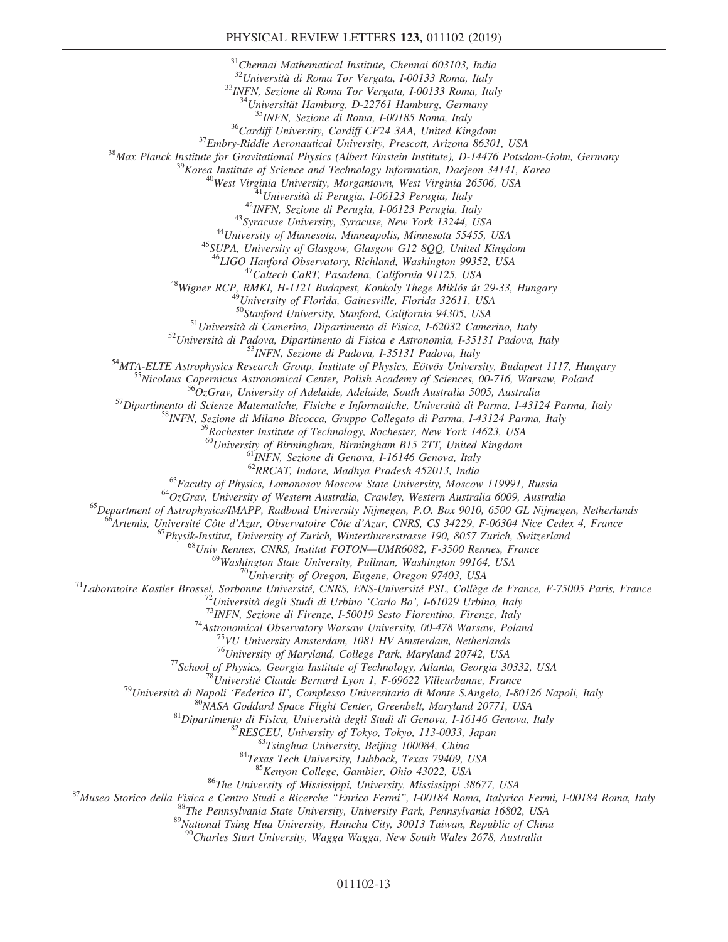<sup>31</sup>Chennai Mathematical Institute, Chennai 603103, India<br><sup>32</sup>Università di Roma Tor Vergata, I-00133 Roma, Italy

 $\frac{33}{NFN}$ , Sezione di Roma Tor Vergata, I-00133 Roma, Italy  $\frac{34}{N + N}$ Universität Hamburg, D-22761 Hamburg, Germany

<sup>35</sup> INFN, Sezione di Roma, 1-00185 Roma, Italy<br><sup>36</sup> Cardiff University, Cardiff CF24 3AA, United Kingdom<br><sup>37</sup> Embry-Riddle Aeronautical University, Prescott, Arizona 86301, USA<br><sup>38</sup> Max Planck Institute for Gravitational

<sup>47</sup>Caltech CaRT, Pasadena, California 91125, USA<br><sup>48</sup>Wigner RCP, RMKI, H-1121 Budapest, Konkoly Thege Miklós út 29-33, Hungary<br><sup>49</sup>University of Florida, Gainesville, Florida 32611, USA<br><sup>50</sup>Stanford University, Stanford,

<sup>51</sup>Università di Camerino, Dipartimento di Fisica, I-62032 Camerino, Italy<br><sup>52</sup>Università di Padova, Dipartimento di Fisica e Astronomia, I-35131 Padova, Italy<br><sup>53</sup>INFN, Sezione di Padova, I-35131 Padova, Italy<br><sup>53</sup>INFN,

<sup>59</sup>Rochester Institute of Technology, Rochester, New York 14623, USA

<sup>60</sup>University of Birmingham, Birmingham B15 2TT, United Kingdom<br><sup>61</sup>INFN, Sezione di Genova, I-16146 Genova, Italy<br><sup>62</sup>RRCAT, Indore, Madhya Pradesh 452013, India

<sup>63</sup> Faculty of Physics, Lomonosov Moscow State University, Moscow 119991, Russia<br><sup>64</sup>OzGrav, University of Western Australia, Crawley, Western Australia 6009, Australia<br><sup>65</sup>Department of Astrophysics/IMAPP, Radboud Unive

<sup>66</sup>Artemis, Université Côte d'Azur, Observatoire Côte d'Azur, CNRS, CS 34229, F-06304 Nice Cedex 4, France<br><sup>67</sup>Physik-Institut, University of Zurich, Winterthurerstrasse 190, 8057 Zurich, Switzerland<br><sup>68</sup>Univ Rennes, CNR

<sup>70</sup>University of Oregon, Eugene, Oregon 97403, USA<br><sup>71</sup>Laboratoire Kastler Brossel, Sorbonne Université, CNRS, ENS-Université PSL, Collège de France, F-75005 Paris, France<br><sup>72</sup>Università degli Studi di Urbino 'Carlo Bo',

<sup>76</sup>University of Maryland, College Park, Maryland 20742, USA<br>
<sup>77</sup>School of Physics, Georgia Institute of Technology, Atlanta, Georgia 30332, USA<br>
<sup>79</sup>Università Claude Bernard Lyon 1, F-69602 Villeurbane, France<br>
<sup>89</sup>Un

<sup>89</sup>National Tsing Hua University, Hsinchu City, 30013 Taiwan, Republic of China<br><sup>90</sup>Charles Sturt University, Wagga Wagga, New South Wales 2678, Australia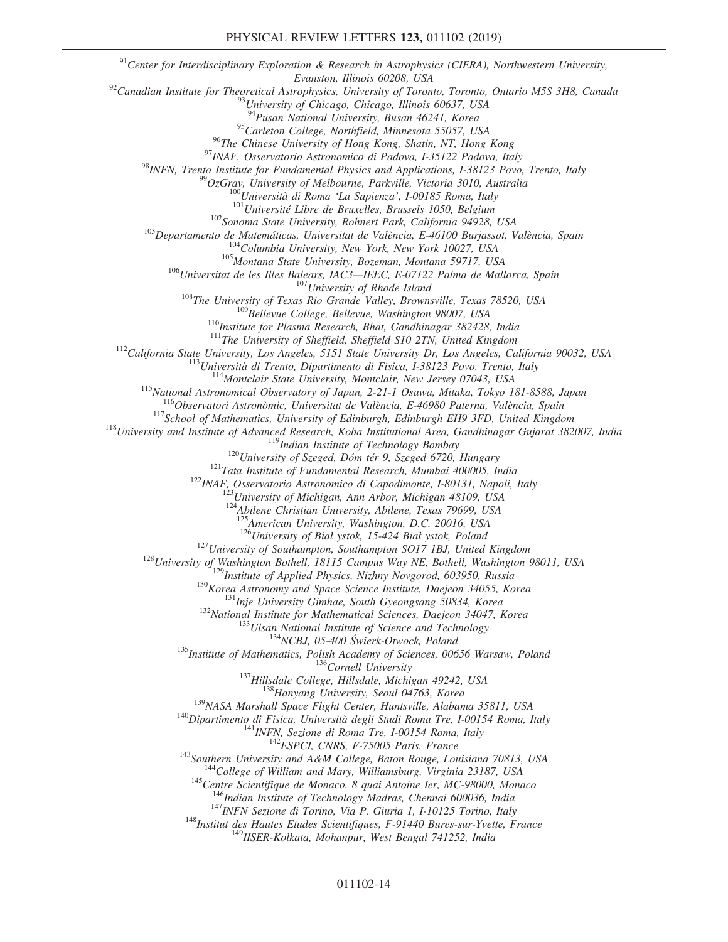$91$ <sup>91</sup>Center for Interdisciplinary Exploration & Research in Astrophysics (CIERA), Northwestern University, Evanston, Illinois 60208, USA<br><sup>92</sup>Canadian Institute for Theoretical Astrophysics, University of Toronto, Toronto, Ontario M5S 3H8, Canada<br><sup>93</sup>University of Chicago, Chicago, Illinois 60637, USA <sup>94</sup>Pusan National University, Busan 46241, Korea  $^{95}$ Carleton College, Northfield, Minnesota 55057, USA<br><sup>96</sup>The Chinese University of Hong Kong, Shatin, NT, Hong Kong <sup>98</sup>TNEN, Trenta continere University of Hong Kong, Shain, NT, Hong Kong Natural Natural Physics and Applications, 1-35122 Pealova, Italy (2017). University of Holehourne, Parkville, Victoria 3010, Australia (2017). Unive <sup>123</sup>American University, Washington, D.C. 20016, USA<br>
<sup>123</sup>Liniversity of Sial ystok, 15-424 Bial ystok, Poland<br>
<sup>123</sup>University of Sial ystok, Holmaton, Southampton SO17 1BJ, United Kingdom<br>
<sup>123</sup>University of Southampt